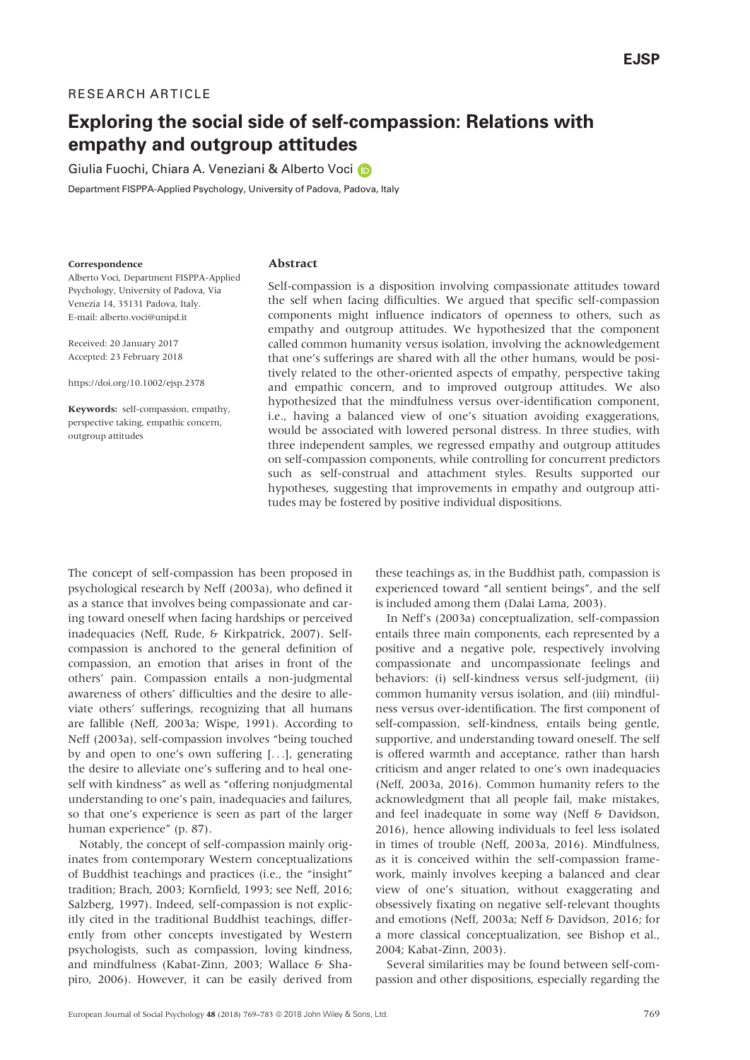# RESEARCH ARTICLE

# Exploring the social side of self-compassion: Relations with empathy and outgroup attitudes

G[i](http://orcid.org/0000-0002-9893-7656)ulia Fuochi, Chiara A. Veneziani & Alberto Voci

Department FISPPA-Applied Psychology, University of Padova, Padova, Italy

#### Correspondence

#### Abstract

Alberto Voci, Department FISPPA-Applied Psychology, University of Padova, Via Venezia 14, 35131 Padova, Italy. E-mail: alberto.voci@unipd.it

Received: 20 January 2017 Accepted: 23 February 2018

<https://doi.org/10.1002/ejsp.2378>

Keywords: self-compassion, empathy, perspective taking, empathic concern, outgroup attitudes

Self-compassion is a disposition involving compassionate attitudes toward the self when facing difficulties. We argued that specific self-compassion components might influence indicators of openness to others, such as empathy and outgroup attitudes. We hypothesized that the component called common humanity versus isolation, involving the acknowledgement that one's sufferings are shared with all the other humans, would be positively related to the other-oriented aspects of empathy, perspective taking and empathic concern, and to improved outgroup attitudes. We also hypothesized that the mindfulness versus over-identification component, i.e., having a balanced view of one's situation avoiding exaggerations, would be associated with lowered personal distress. In three studies, with three independent samples, we regressed empathy and outgroup attitudes on self-compassion components, while controlling for concurrent predictors such as self-construal and attachment styles. Results supported our hypotheses, suggesting that improvements in empathy and outgroup attitudes may be fostered by positive individual dispositions.

The concept of self-compassion has been proposed in psychological research by Neff (2003a), who defined it as a stance that involves being compassionate and caring toward oneself when facing hardships or perceived inadequacies (Neff, Rude, & Kirkpatrick, 2007). Selfcompassion is anchored to the general definition of compassion, an emotion that arises in front of the others' pain. Compassion entails a non-judgmental awareness of others' difficulties and the desire to alleviate others' sufferings, recognizing that all humans are fallible (Neff, 2003a; Wispe, 1991). According to Neff (2003a), self-compassion involves "being touched by and open to one's own suffering [...], generating the desire to alleviate one's suffering and to heal oneself with kindness" as well as "offering nonjudgmental understanding to one's pain, inadequacies and failures, so that one's experience is seen as part of the larger human experience" (p. 87).

Notably, the concept of self-compassion mainly originates from contemporary Western conceptualizations of Buddhist teachings and practices (i.e., the "insight" tradition; Brach, 2003; Kornfield, 1993; see Neff, 2016; Salzberg, 1997). Indeed, self-compassion is not explicitly cited in the traditional Buddhist teachings, differently from other concepts investigated by Western psychologists, such as compassion, loving kindness, and mindfulness (Kabat-Zinn, 2003; Wallace & Shapiro, 2006). However, it can be easily derived from

these teachings as, in the Buddhist path, compassion is experienced toward "all sentient beings", and the self is included among them (Dalai Lama, 2003).

In Neff's (2003a) conceptualization, self-compassion entails three main components, each represented by a positive and a negative pole, respectively involving compassionate and uncompassionate feelings and behaviors: (i) self-kindness versus self-judgment, (ii) common humanity versus isolation, and (iii) mindfulness versus over-identification. The first component of self-compassion, self-kindness, entails being gentle, supportive, and understanding toward oneself. The self is offered warmth and acceptance, rather than harsh criticism and anger related to one's own inadequacies (Neff, 2003a, 2016). Common humanity refers to the acknowledgment that all people fail, make mistakes, and feel inadequate in some way (Neff & Davidson, 2016), hence allowing individuals to feel less isolated in times of trouble (Neff, 2003a, 2016). Mindfulness, as it is conceived within the self-compassion framework, mainly involves keeping a balanced and clear view of one's situation, without exaggerating and obsessively fixating on negative self-relevant thoughts and emotions (Neff, 2003a; Neff & Davidson, 2016; for a more classical conceptualization, see Bishop et al., 2004; Kabat-Zinn, 2003).

Several similarities may be found between self-compassion and other dispositions, especially regarding the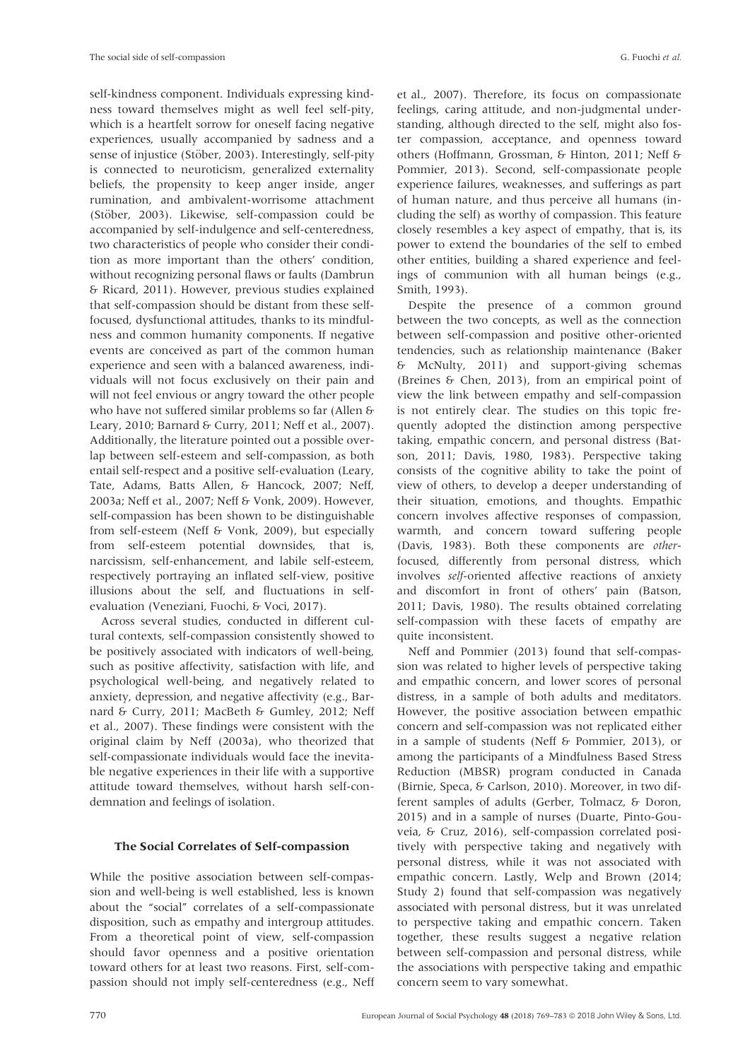self-kindness component. Individuals expressing kindness toward themselves might as well feel self-pity, which is a heartfelt sorrow for oneself facing negative experiences, usually accompanied by sadness and a sense of injustice (Stöber, 2003). Interestingly, self-pity is connected to neuroticism, generalized externality beliefs, the propensity to keep anger inside, anger rumination, and ambivalent-worrisome attachment (Stöber, 2003). Likewise, self-compassion could be accompanied by self-indulgence and self-centeredness, two characteristics of people who consider their condition as more important than the others' condition, without recognizing personal flaws or faults (Dambrun & Ricard, 2011). However, previous studies explained that self-compassion should be distant from these selffocused, dysfunctional attitudes, thanks to its mindfulness and common humanity components. If negative events are conceived as part of the common human experience and seen with a balanced awareness, individuals will not focus exclusively on their pain and will not feel envious or angry toward the other people who have not suffered similar problems so far (Allen & Leary, 2010; Barnard & Curry, 2011; Neff et al., 2007). Additionally, the literature pointed out a possible overlap between self-esteem and self-compassion, as both entail self-respect and a positive self-evaluation (Leary, Tate, Adams, Batts Allen, & Hancock, 2007; Neff, 2003a; Neff et al., 2007; Neff & Vonk, 2009). However, self-compassion has been shown to be distinguishable from self-esteem (Neff & Vonk, 2009), but especially from self-esteem potential downsides, that is, narcissism, self-enhancement, and labile self-esteem, respectively portraying an inflated self-view, positive illusions about the self, and fluctuations in selfevaluation (Veneziani, Fuochi, & Voci, 2017).

Across several studies, conducted in different cultural contexts, self-compassion consistently showed to be positively associated with indicators of well-being, such as positive affectivity, satisfaction with life, and psychological well-being, and negatively related to anxiety, depression, and negative affectivity (e.g., Barnard & Curry, 2011; MacBeth & Gumley, 2012; Neff et al., 2007). These findings were consistent with the original claim by Neff (2003a), who theorized that self-compassionate individuals would face the inevitable negative experiences in their life with a supportive attitude toward themselves, without harsh self-condemnation and feelings of isolation.

# The Social Correlates of Self-compassion

While the positive association between self-compassion and well-being is well established, less is known about the "social" correlates of a self-compassionate disposition, such as empathy and intergroup attitudes. From a theoretical point of view, self-compassion should favor openness and a positive orientation toward others for at least two reasons. First, self-compassion should not imply self-centeredness (e.g., Neff

et al., 2007). Therefore, its focus on compassionate feelings, caring attitude, and non-judgmental understanding, although directed to the self, might also foster compassion, acceptance, and openness toward others (Hoffmann, Grossman, & Hinton, 2011; Neff & Pommier, 2013). Second, self-compassionate people experience failures, weaknesses, and sufferings as part of human nature, and thus perceive all humans (including the self) as worthy of compassion. This feature closely resembles a key aspect of empathy, that is, its power to extend the boundaries of the self to embed other entities, building a shared experience and feelings of communion with all human beings (e.g., Smith, 1993).

Despite the presence of a common ground between the two concepts, as well as the connection between self-compassion and positive other-oriented tendencies, such as relationship maintenance (Baker & McNulty, 2011) and support-giving schemas (Breines & Chen, 2013), from an empirical point of view the link between empathy and self-compassion is not entirely clear. The studies on this topic frequently adopted the distinction among perspective taking, empathic concern, and personal distress (Batson, 2011; Davis, 1980, 1983). Perspective taking consists of the cognitive ability to take the point of view of others, to develop a deeper understanding of their situation, emotions, and thoughts. Empathic concern involves affective responses of compassion, warmth, and concern toward suffering people (Davis, 1983). Both these components are otherfocused, differently from personal distress, which involves self-oriented affective reactions of anxiety and discomfort in front of others' pain (Batson, 2011; Davis, 1980). The results obtained correlating self-compassion with these facets of empathy are quite inconsistent.

Neff and Pommier (2013) found that self-compassion was related to higher levels of perspective taking and empathic concern, and lower scores of personal distress, in a sample of both adults and meditators. However, the positive association between empathic concern and self-compassion was not replicated either in a sample of students (Neff & Pommier, 2013), or among the participants of a Mindfulness Based Stress Reduction (MBSR) program conducted in Canada (Birnie, Speca, & Carlson, 2010). Moreover, in two different samples of adults (Gerber, Tolmacz, & Doron, 2015) and in a sample of nurses (Duarte, Pinto-Gouveia, & Cruz, 2016), self-compassion correlated positively with perspective taking and negatively with personal distress, while it was not associated with empathic concern. Lastly, Welp and Brown (2014; Study 2) found that self-compassion was negatively associated with personal distress, but it was unrelated to perspective taking and empathic concern. Taken together, these results suggest a negative relation between self-compassion and personal distress, while the associations with perspective taking and empathic concern seem to vary somewhat.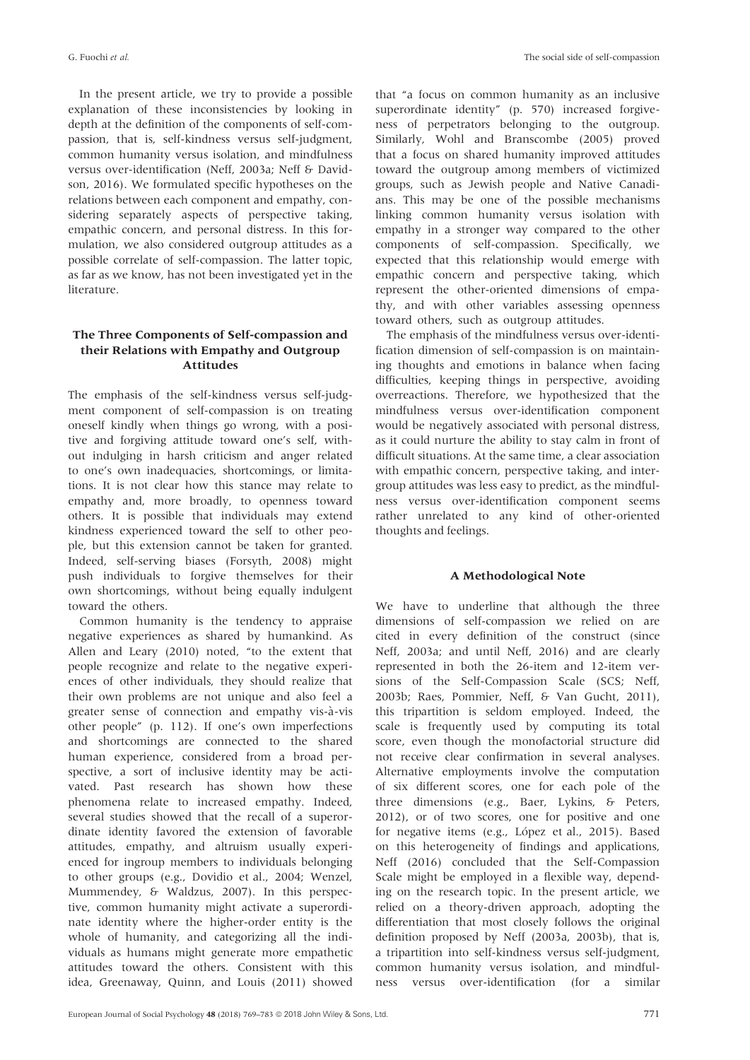In the present article, we try to provide a possible explanation of these inconsistencies by looking in depth at the definition of the components of self-compassion, that is, self-kindness versus self-judgment, common humanity versus isolation, and mindfulness versus over-identification (Neff, 2003a; Neff & Davidson, 2016). We formulated specific hypotheses on the relations between each component and empathy, considering separately aspects of perspective taking, empathic concern, and personal distress. In this formulation, we also considered outgroup attitudes as a possible correlate of self-compassion. The latter topic, as far as we know, has not been investigated yet in the literature.

# The Three Components of Self-compassion and their Relations with Empathy and Outgroup Attitudes

The emphasis of the self-kindness versus self-judgment component of self-compassion is on treating oneself kindly when things go wrong, with a positive and forgiving attitude toward one's self, without indulging in harsh criticism and anger related to one's own inadequacies, shortcomings, or limitations. It is not clear how this stance may relate to empathy and, more broadly, to openness toward others. It is possible that individuals may extend kindness experienced toward the self to other people, but this extension cannot be taken for granted. Indeed, self-serving biases (Forsyth, 2008) might push individuals to forgive themselves for their own shortcomings, without being equally indulgent toward the others.

Common humanity is the tendency to appraise negative experiences as shared by humankind. As Allen and Leary (2010) noted, "to the extent that people recognize and relate to the negative experiences of other individuals, they should realize that their own problems are not unique and also feel a greater sense of connection and empathy vis-à-vis other people" (p. 112). If one's own imperfections and shortcomings are connected to the shared human experience, considered from a broad perspective, a sort of inclusive identity may be activated. Past research has shown how these phenomena relate to increased empathy. Indeed, several studies showed that the recall of a superordinate identity favored the extension of favorable attitudes, empathy, and altruism usually experienced for ingroup members to individuals belonging to other groups (e.g., Dovidio et al., 2004; Wenzel, Mummendey, & Waldzus, 2007). In this perspective, common humanity might activate a superordinate identity where the higher-order entity is the whole of humanity, and categorizing all the individuals as humans might generate more empathetic attitudes toward the others. Consistent with this idea, Greenaway, Quinn, and Louis (2011) showed that "a focus on common humanity as an inclusive superordinate identity" (p. 570) increased forgiveness of perpetrators belonging to the outgroup. Similarly, Wohl and Branscombe (2005) proved that a focus on shared humanity improved attitudes toward the outgroup among members of victimized groups, such as Jewish people and Native Canadians. This may be one of the possible mechanisms linking common humanity versus isolation with empathy in a stronger way compared to the other components of self-compassion. Specifically, we expected that this relationship would emerge with empathic concern and perspective taking, which represent the other-oriented dimensions of empathy, and with other variables assessing openness toward others, such as outgroup attitudes.

The emphasis of the mindfulness versus over-identification dimension of self-compassion is on maintaining thoughts and emotions in balance when facing difficulties, keeping things in perspective, avoiding overreactions. Therefore, we hypothesized that the mindfulness versus over-identification component would be negatively associated with personal distress, as it could nurture the ability to stay calm in front of difficult situations. At the same time, a clear association with empathic concern, perspective taking, and intergroup attitudes was less easy to predict, as the mindfulness versus over-identification component seems rather unrelated to any kind of other-oriented thoughts and feelings.

# A Methodological Note

We have to underline that although the three dimensions of self-compassion we relied on are cited in every definition of the construct (since Neff, 2003a; and until Neff, 2016) and are clearly represented in both the 26-item and 12-item versions of the Self-Compassion Scale (SCS; Neff, 2003b; Raes, Pommier, Neff, & Van Gucht, 2011), this tripartition is seldom employed. Indeed, the scale is frequently used by computing its total score, even though the monofactorial structure did not receive clear confirmation in several analyses. Alternative employments involve the computation of six different scores, one for each pole of the three dimensions (e.g., Baer, Lykins, & Peters, 2012), or of two scores, one for positive and one for negative items (e.g., López et al., 2015). Based on this heterogeneity of findings and applications, Neff (2016) concluded that the Self-Compassion Scale might be employed in a flexible way, depending on the research topic. In the present article, we relied on a theory-driven approach, adopting the differentiation that most closely follows the original definition proposed by Neff (2003a, 2003b), that is, a tripartition into self-kindness versus self-judgment, common humanity versus isolation, and mindfulness versus over-identification (for a similar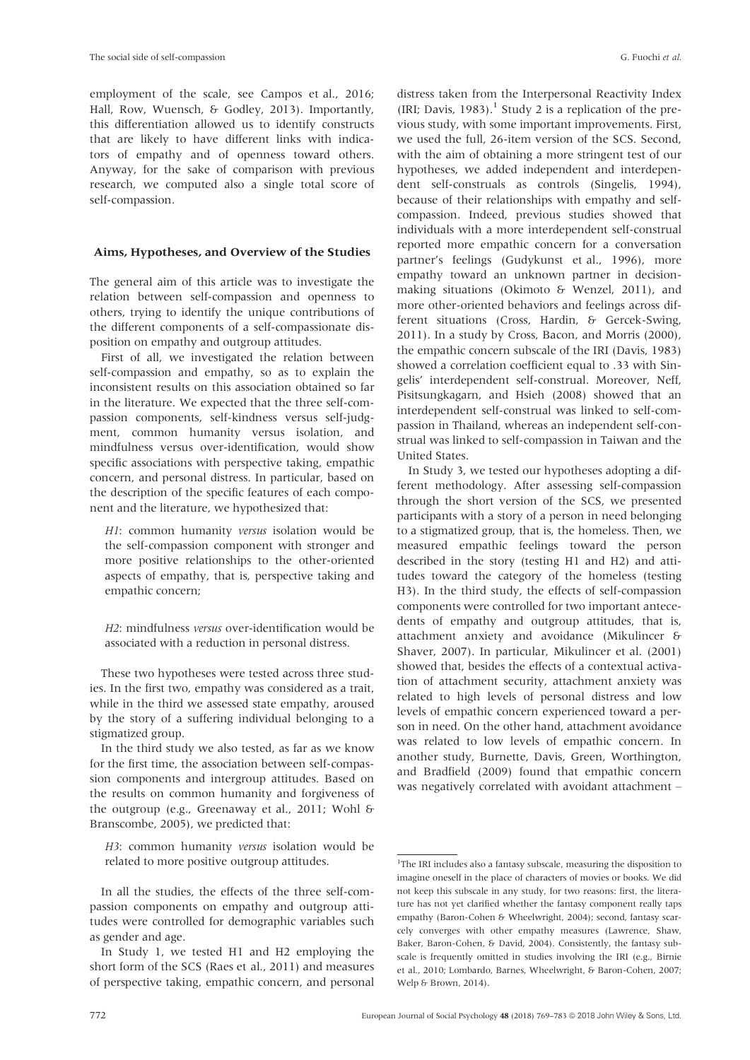employment of the scale, see Campos et al., 2016; Hall, Row, Wuensch, & Godley, 2013). Importantly, this differentiation allowed us to identify constructs that are likely to have different links with indicators of empathy and of openness toward others. Anyway, for the sake of comparison with previous research, we computed also a single total score of self-compassion.

# Aims, Hypotheses, and Overview of the Studies

The general aim of this article was to investigate the relation between self-compassion and openness to others, trying to identify the unique contributions of the different components of a self-compassionate disposition on empathy and outgroup attitudes.

First of all, we investigated the relation between self-compassion and empathy, so as to explain the inconsistent results on this association obtained so far in the literature. We expected that the three self-compassion components, self-kindness versus self-judgment, common humanity versus isolation, and mindfulness versus over-identification, would show specific associations with perspective taking, empathic concern, and personal distress. In particular, based on the description of the specific features of each component and the literature, we hypothesized that:

H1: common humanity versus isolation would be the self-compassion component with stronger and more positive relationships to the other-oriented aspects of empathy, that is, perspective taking and empathic concern;

H2: mindfulness versus over-identification would be associated with a reduction in personal distress.

These two hypotheses were tested across three studies. In the first two, empathy was considered as a trait, while in the third we assessed state empathy, aroused by the story of a suffering individual belonging to a stigmatized group.

In the third study we also tested, as far as we know for the first time, the association between self-compassion components and intergroup attitudes. Based on the results on common humanity and forgiveness of the outgroup (e.g., Greenaway et al., 2011; Wohl & Branscombe, 2005), we predicted that:

H3: common humanity versus isolation would be related to more positive outgroup attitudes.

distress taken from the Interpersonal Reactivity Index (IRI; Davis, 1983).<sup>1</sup> Study 2 is a replication of the previous study, with some important improvements. First, we used the full, 26-item version of the SCS. Second, with the aim of obtaining a more stringent test of our hypotheses, we added independent and interdependent self-construals as controls (Singelis, 1994), because of their relationships with empathy and selfcompassion. Indeed, previous studies showed that individuals with a more interdependent self-construal reported more empathic concern for a conversation partner's feelings (Gudykunst et al., 1996), more empathy toward an unknown partner in decisionmaking situations (Okimoto & Wenzel, 2011), and more other-oriented behaviors and feelings across different situations (Cross, Hardin, & Gercek-Swing, 2011). In a study by Cross, Bacon, and Morris (2000), the empathic concern subscale of the IRI (Davis, 1983) showed a correlation coefficient equal to .33 with Singelis' interdependent self-construal. Moreover, Neff, Pisitsungkagarn, and Hsieh (2008) showed that an interdependent self-construal was linked to self-compassion in Thailand, whereas an independent self-construal was linked to self-compassion in Taiwan and the United States.

In Study 3, we tested our hypotheses adopting a different methodology. After assessing self-compassion through the short version of the SCS, we presented participants with a story of a person in need belonging to a stigmatized group, that is, the homeless. Then, we measured empathic feelings toward the person described in the story (testing H1 and H2) and attitudes toward the category of the homeless (testing H3). In the third study, the effects of self-compassion components were controlled for two important antecedents of empathy and outgroup attitudes, that is, attachment anxiety and avoidance (Mikulincer & Shaver, 2007). In particular, Mikulincer et al. (2001) showed that, besides the effects of a contextual activation of attachment security, attachment anxiety was related to high levels of personal distress and low levels of empathic concern experienced toward a person in need. On the other hand, attachment avoidance was related to low levels of empathic concern. In another study, Burnette, Davis, Green, Worthington, and Bradfield (2009) found that empathic concern was negatively correlated with avoidant attachment –

In all the studies, the effects of the three self-compassion components on empathy and outgroup attitudes were controlled for demographic variables such as gender and age.

In Study 1, we tested H1 and H2 employing the short form of the SCS (Raes et al., 2011) and measures of perspective taking, empathic concern, and personal

<sup>&</sup>lt;sup>1</sup>The IRI includes also a fantasy subscale, measuring the disposition to imagine oneself in the place of characters of movies or books. We did not keep this subscale in any study, for two reasons: first, the literature has not yet clarified whether the fantasy component really taps empathy (Baron-Cohen & Wheelwright, 2004); second, fantasy scarcely converges with other empathy measures (Lawrence, Shaw, Baker, Baron-Cohen, & David, 2004). Consistently, the fantasy subscale is frequently omitted in studies involving the IRI (e.g., Birnie et al., 2010; Lombardo, Barnes, Wheelwright, & Baron-Cohen, 2007; Welp & Brown, 2014).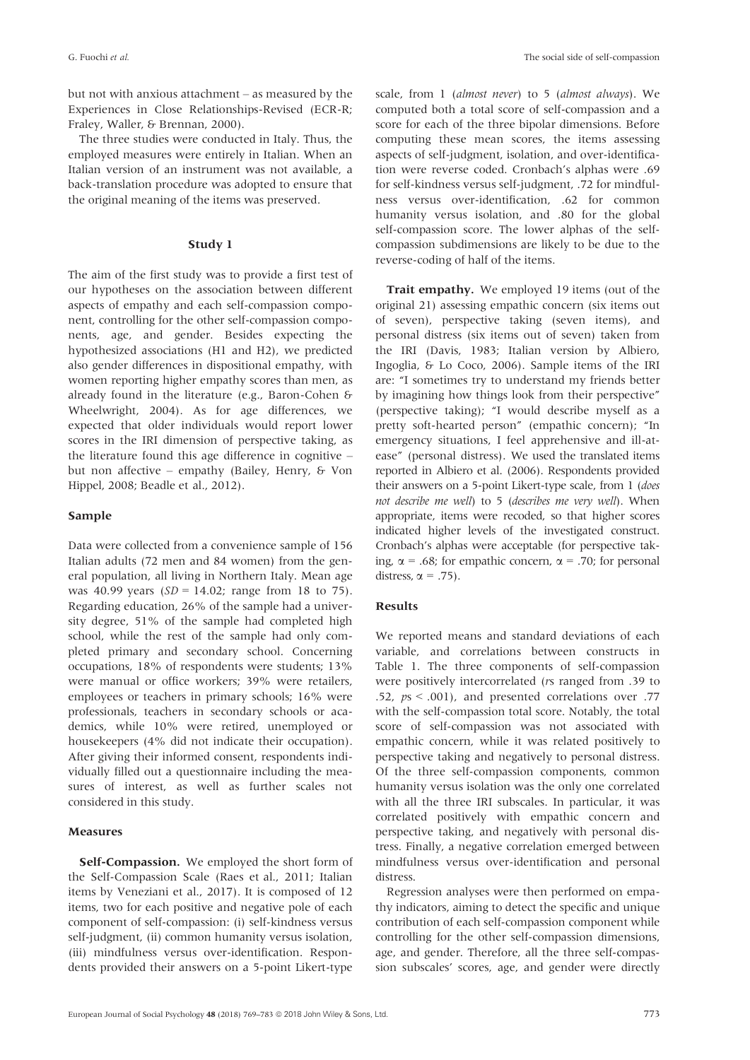but not with anxious attachment – as measured by the Experiences in Close Relationships-Revised (ECR-R; Fraley, Waller, & Brennan, 2000).

The three studies were conducted in Italy. Thus, the employed measures were entirely in Italian. When an Italian version of an instrument was not available, a back-translation procedure was adopted to ensure that the original meaning of the items was preserved.

# Study 1

The aim of the first study was to provide a first test of our hypotheses on the association between different aspects of empathy and each self-compassion component, controlling for the other self-compassion components, age, and gender. Besides expecting the hypothesized associations (H1 and H2), we predicted also gender differences in dispositional empathy, with women reporting higher empathy scores than men, as already found in the literature (e.g., Baron-Cohen & Wheelwright, 2004). As for age differences, we expected that older individuals would report lower scores in the IRI dimension of perspective taking, as the literature found this age difference in cognitive – but non affective – empathy (Bailey, Henry, & Von Hippel, 2008; Beadle et al., 2012).

# Sample

Data were collected from a convenience sample of 156 Italian adults (72 men and 84 women) from the general population, all living in Northern Italy. Mean age was 40.99 years ( $SD = 14.02$ ; range from 18 to 75). Regarding education, 26% of the sample had a university degree, 51% of the sample had completed high school, while the rest of the sample had only completed primary and secondary school. Concerning occupations, 18% of respondents were students; 13% were manual or office workers; 39% were retailers, employees or teachers in primary schools; 16% were professionals, teachers in secondary schools or academics, while 10% were retired, unemployed or housekeepers (4% did not indicate their occupation). After giving their informed consent, respondents individually filled out a questionnaire including the measures of interest, as well as further scales not considered in this study.

#### Measures

Self-Compassion. We employed the short form of the Self-Compassion Scale (Raes et al., 2011; Italian items by Veneziani et al., 2017). It is composed of 12 items, two for each positive and negative pole of each component of self-compassion: (i) self-kindness versus self-judgment, (ii) common humanity versus isolation, (iii) mindfulness versus over-identification. Respondents provided their answers on a 5-point Likert-type

scale, from 1 (almost never) to 5 (almost always). We computed both a total score of self-compassion and a score for each of the three bipolar dimensions. Before computing these mean scores, the items assessing aspects of self-judgment, isolation, and over-identification were reverse coded. Cronbach's alphas were .69 for self-kindness versus self-judgment, .72 for mindfulness versus over-identification, .62 for common humanity versus isolation, and .80 for the global self-compassion score. The lower alphas of the selfcompassion subdimensions are likely to be due to the reverse-coding of half of the items.

Trait empathy. We employed 19 items (out of the original 21) assessing empathic concern (six items out of seven), perspective taking (seven items), and personal distress (six items out of seven) taken from the IRI (Davis, 1983; Italian version by Albiero, Ingoglia, & Lo Coco, 2006). Sample items of the IRI are: "I sometimes try to understand my friends better by imagining how things look from their perspective" (perspective taking); "I would describe myself as a pretty soft-hearted person" (empathic concern); "In emergency situations, I feel apprehensive and ill-atease" (personal distress). We used the translated items reported in Albiero et al. (2006). Respondents provided their answers on a 5-point Likert-type scale, from 1 (does not describe me well) to 5 (describes me very well). When appropriate, items were recoded, so that higher scores indicated higher levels of the investigated construct. Cronbach's alphas were acceptable (for perspective taking,  $\alpha$  = .68; for empathic concern,  $\alpha$  = .70; for personal distress,  $\alpha = .75$ ).

#### Results

We reported means and standard deviations of each variable, and correlations between constructs in Table 1. The three components of self-compassion were positively intercorrelated (rs ranged from .39 to .52, ps < .001), and presented correlations over .77 with the self-compassion total score. Notably, the total score of self-compassion was not associated with empathic concern, while it was related positively to perspective taking and negatively to personal distress. Of the three self-compassion components, common humanity versus isolation was the only one correlated with all the three IRI subscales. In particular, it was correlated positively with empathic concern and perspective taking, and negatively with personal distress. Finally, a negative correlation emerged between mindfulness versus over-identification and personal distress.

Regression analyses were then performed on empathy indicators, aiming to detect the specific and unique contribution of each self-compassion component while controlling for the other self-compassion dimensions, age, and gender. Therefore, all the three self-compassion subscales' scores, age, and gender were directly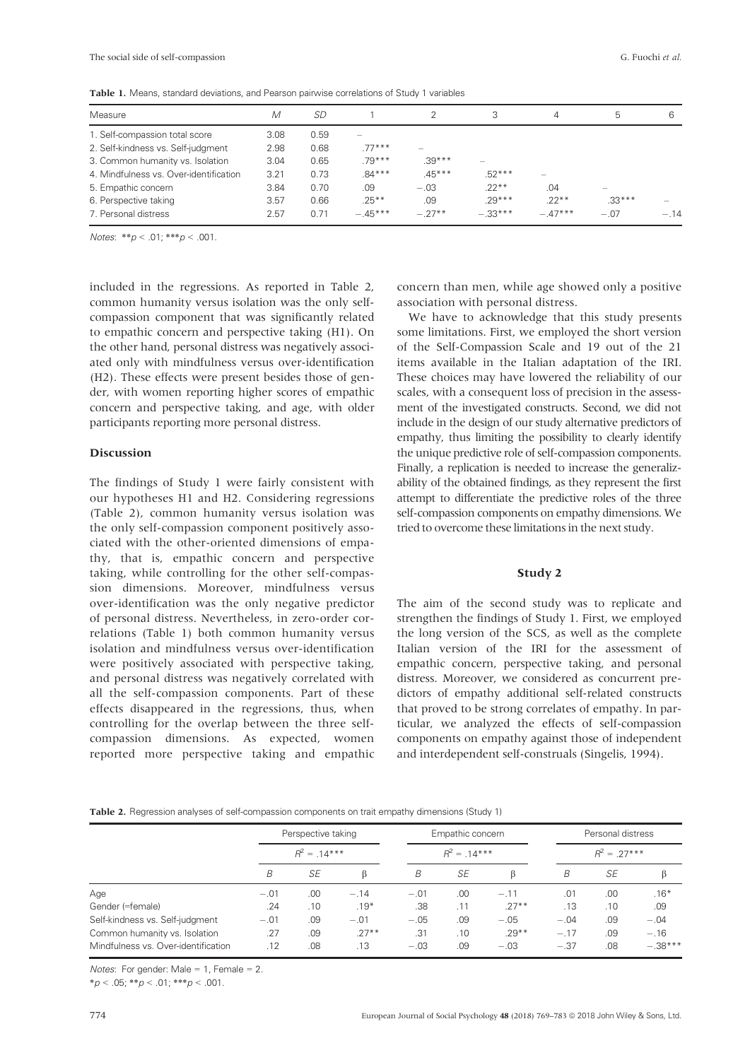Table 1. Means, standard deviations, and Pearson pairwise correlations of Study 1 variables

| Measure                                | M    | SD   |           |                   | 3                        | 4                               | 5        | 6      |
|----------------------------------------|------|------|-----------|-------------------|--------------------------|---------------------------------|----------|--------|
| 1. Self-compassion total score         | 3.08 | 0.59 |           |                   |                          |                                 |          |        |
| 2. Self-kindness vs. Self-judgment     | 2.98 | 0.68 | $77***$   | $\hspace{0.05cm}$ |                          |                                 |          |        |
| 3. Common humanity vs. Isolation       | 3.04 | 0.65 | $.79***$  | $.39***$          | $\overline{\phantom{m}}$ |                                 |          |        |
| 4. Mindfulness vs. Over-identification | 3.21 | 0.73 | $.84***$  | $.45***$          | $.52***$                 | $\hspace{0.1mm}-\hspace{0.1mm}$ |          |        |
| 5. Empathic concern                    | 3.84 | 0.70 | .09       | $-.03$            | $.22**$                  | .04                             |          |        |
| 6. Perspective taking                  | 3.57 | 0.66 | $.25***$  | .09               | $.29***$                 | $22**$                          | $.33***$ |        |
| 7. Personal distress                   | 2.57 | 0.71 | $-.45***$ | $-.27**$          | $-.33***$                | $-.47***$                       | $-.07$   | $-.14$ |

Notes: \*\*p < .01; \*\*\*p < .001.

included in the regressions. As reported in Table 2, common humanity versus isolation was the only selfcompassion component that was significantly related to empathic concern and perspective taking (H1). On the other hand, personal distress was negatively associated only with mindfulness versus over-identification (H2). These effects were present besides those of gender, with women reporting higher scores of empathic concern and perspective taking, and age, with older participants reporting more personal distress.

#### Discussion

The findings of Study 1 were fairly consistent with our hypotheses H1 and H2. Considering regressions (Table 2), common humanity versus isolation was the only self-compassion component positively associated with the other-oriented dimensions of empathy, that is, empathic concern and perspective taking, while controlling for the other self-compassion dimensions. Moreover, mindfulness versus over-identification was the only negative predictor of personal distress. Nevertheless, in zero-order correlations (Table 1) both common humanity versus isolation and mindfulness versus over-identification were positively associated with perspective taking, and personal distress was negatively correlated with all the self-compassion components. Part of these effects disappeared in the regressions, thus, when controlling for the overlap between the three selfcompassion dimensions. As expected, women reported more perspective taking and empathic

concern than men, while age showed only a positive association with personal distress.

We have to acknowledge that this study presents some limitations. First, we employed the short version of the Self-Compassion Scale and 19 out of the 21 items available in the Italian adaptation of the IRI. These choices may have lowered the reliability of our scales, with a consequent loss of precision in the assessment of the investigated constructs. Second, we did not include in the design of our study alternative predictors of empathy, thus limiting the possibility to clearly identify the unique predictive role of self-compassion components. Finally, a replication is needed to increase the generalizability of the obtained findings, as they represent the first attempt to differentiate the predictive roles of the three self-compassion components on empathy dimensions. We tried to overcome these limitations in the next study.

#### Study 2

The aim of the second study was to replicate and strengthen the findings of Study 1. First, we employed the long version of the SCS, as well as the complete Italian version of the IRI for the assessment of empathic concern, perspective taking, and personal distress. Moreover, we considered as concurrent predictors of empathy additional self-related constructs that proved to be strong correlates of empathy. In particular, we analyzed the effects of self-compassion components on empathy against those of independent and interdependent self-construals (Singelis, 1994).

Table 2. Regression analyses of self-compassion components on trait empathy dimensions (Study 1)

|                                     |        | Perspective taking |         | Empathic concern<br>$R^2 = 14***$ |     |         |               | Personal distress |           |  |  |
|-------------------------------------|--------|--------------------|---------|-----------------------------------|-----|---------|---------------|-------------------|-----------|--|--|
|                                     |        | $R^2 = 14***$      |         |                                   |     |         | $R^2 = 27***$ |                   |           |  |  |
|                                     | B      | <b>SE</b>          | ß       | B                                 | SE  | ß       | B             | SE                |           |  |  |
| Age                                 | $-.01$ | .00                | $-.14$  | $-.01$                            | .00 | $-.11$  | .01           | .00               | $.16*$    |  |  |
| Gender (=female)                    | .24    | .10                | $.19*$  | .38                               | .11 | $.27**$ | .13           | .10               | .09       |  |  |
| Self-kindness vs. Self-judgment     | $-.01$ | .09                | $-.01$  | $-.05$                            | .09 | $-.05$  | $-.04$        | .09               | $-.04$    |  |  |
| Common humanity vs. Isolation       | .27    | .09                | $.27**$ | .31                               | .10 | $.29**$ | $-.17$        | .09               | $-.16$    |  |  |
| Mindfulness vs. Over-identification | .12    | .08                | .13     | $-.03$                            | .09 | $-.03$  | $-.37$        | .08               | $-.38***$ |  |  |

Notes: For gender: Male = 1, Female = 2.

 $**p* < .05; ***p* < .01; ****p* < .001.$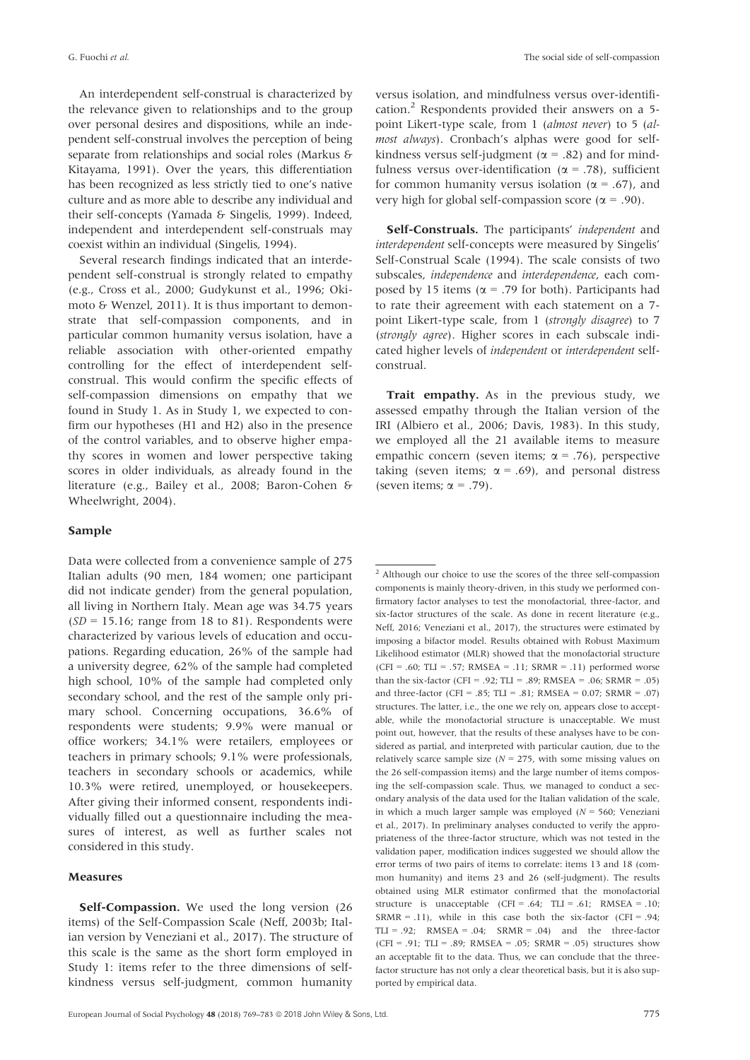An interdependent self-construal is characterized by the relevance given to relationships and to the group over personal desires and dispositions, while an independent self-construal involves the perception of being separate from relationships and social roles (Markus & Kitayama, 1991). Over the years, this differentiation has been recognized as less strictly tied to one's native culture and as more able to describe any individual and their self-concepts (Yamada & Singelis, 1999). Indeed, independent and interdependent self-construals may coexist within an individual (Singelis, 1994).

Several research findings indicated that an interdependent self-construal is strongly related to empathy (e.g., Cross et al., 2000; Gudykunst et al., 1996; Okimoto & Wenzel, 2011). It is thus important to demonstrate that self-compassion components, and in particular common humanity versus isolation, have a reliable association with other-oriented empathy controlling for the effect of interdependent selfconstrual. This would confirm the specific effects of self-compassion dimensions on empathy that we found in Study 1. As in Study 1, we expected to confirm our hypotheses (H1 and H2) also in the presence of the control variables, and to observe higher empathy scores in women and lower perspective taking scores in older individuals, as already found in the literature (e.g., Bailey et al., 2008; Baron-Cohen & Wheelwright, 2004).

# Sample

Data were collected from a convenience sample of 275 Italian adults (90 men, 184 women; one participant did not indicate gender) from the general population, all living in Northern Italy. Mean age was 34.75 years  $(SD = 15.16$ ; range from 18 to 81). Respondents were characterized by various levels of education and occupations. Regarding education, 26% of the sample had a university degree, 62% of the sample had completed high school, 10% of the sample had completed only secondary school, and the rest of the sample only primary school. Concerning occupations, 36.6% of respondents were students; 9.9% were manual or office workers; 34.1% were retailers, employees or teachers in primary schools; 9.1% were professionals, teachers in secondary schools or academics, while 10.3% were retired, unemployed, or housekeepers. After giving their informed consent, respondents individually filled out a questionnaire including the measures of interest, as well as further scales not considered in this study.

# Measures

Self-Compassion. We used the long version (26 items) of the Self-Compassion Scale (Neff, 2003b; Italian version by Veneziani et al., 2017). The structure of this scale is the same as the short form employed in Study 1: items refer to the three dimensions of selfkindness versus self-judgment, common humanity

versus isolation, and mindfulness versus over-identification.<sup>2</sup> Respondents provided their answers on a 5point Likert-type scale, from 1 (almost never) to 5 (almost always). Cronbach's alphas were good for selfkindness versus self-judgment ( $\alpha$  = .82) and for mindfulness versus over-identification ( $\alpha$  = .78), sufficient for common humanity versus isolation ( $\alpha$  = .67), and very high for global self-compassion score ( $\alpha$  = .90).

Self-Construals. The participants' independent and interdependent self-concepts were measured by Singelis' Self-Construal Scale (1994). The scale consists of two subscales, independence and interdependence, each composed by 15 items ( $\alpha$  = .79 for both). Participants had to rate their agreement with each statement on a 7 point Likert-type scale, from 1 (strongly disagree) to 7 (strongly agree). Higher scores in each subscale indicated higher levels of independent or interdependent selfconstrual.

Trait empathy. As in the previous study, we assessed empathy through the Italian version of the IRI (Albiero et al., 2006; Davis, 1983). In this study, we employed all the 21 available items to measure empathic concern (seven items;  $\alpha$  = .76), perspective taking (seven items;  $\alpha = .69$ ), and personal distress (seven items;  $\alpha = .79$ ).

 $^{\rm 2}$  Although our choice to use the scores of the three self-compassion components is mainly theory-driven, in this study we performed confirmatory factor analyses to test the monofactorial, three-factor, and six-factor structures of the scale. As done in recent literature (e.g., Neff, 2016; Veneziani et al., 2017), the structures were estimated by imposing a bifactor model. Results obtained with Robust Maximum Likelihood estimator (MLR) showed that the monofactorial structure (CFI = .60; TLI = .57; RMSEA = .11; SRMR = .11) performed worse than the six-factor (CFI = .92; TLI = .89; RMSEA = .06; SRMR = .05) and three-factor (CFI =  $.85$ ; TLI =  $.81$ ; RMSEA =  $0.07$ ; SRMR =  $.07$ ) structures. The latter, i.e., the one we rely on, appears close to acceptable, while the monofactorial structure is unacceptable. We must point out, however, that the results of these analyses have to be considered as partial, and interpreted with particular caution, due to the relatively scarce sample size ( $N = 275$ , with some missing values on the 26 self-compassion items) and the large number of items composing the self-compassion scale. Thus, we managed to conduct a secondary analysis of the data used for the Italian validation of the scale, in which a much larger sample was employed ( $N = 560$ ; Veneziani et al., 2017). In preliminary analyses conducted to verify the appropriateness of the three-factor structure, which was not tested in the validation paper, modification indices suggested we should allow the error terms of two pairs of items to correlate: items 13 and 18 (common humanity) and items 23 and 26 (self-judgment). The results obtained using MLR estimator confirmed that the monofactorial structure is unacceptable  $(CFI = .64; TLI = .61; RMSEA = .10;$  $SRMR = .11$ ), while in this case both the six-factor (CFI = .94; TLI = .92; RMSEA = .04; SRMR = .04) and the three-factor (CFI = .91; TLI = .89; RMSEA = .05; SRMR = .05) structures show an acceptable fit to the data. Thus, we can conclude that the threefactor structure has not only a clear theoretical basis, but it is also supported by empirical data.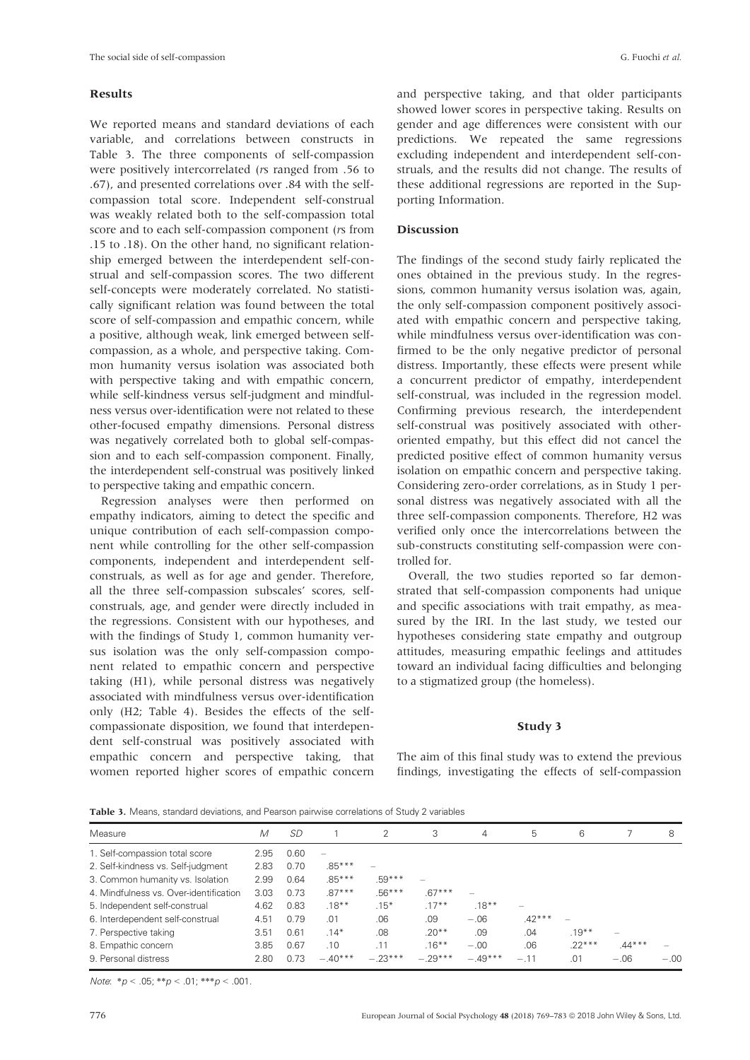#### Results

We reported means and standard deviations of each variable, and correlations between constructs in Table 3. The three components of self-compassion were positively intercorrelated (rs ranged from .56 to .67), and presented correlations over .84 with the selfcompassion total score. Independent self-construal was weakly related both to the self-compassion total score and to each self-compassion component (*rs* from .15 to .18). On the other hand, no significant relationship emerged between the interdependent self-construal and self-compassion scores. The two different self-concepts were moderately correlated. No statistically significant relation was found between the total score of self-compassion and empathic concern, while a positive, although weak, link emerged between selfcompassion, as a whole, and perspective taking. Common humanity versus isolation was associated both with perspective taking and with empathic concern, while self-kindness versus self-judgment and mindfulness versus over-identification were not related to these other-focused empathy dimensions. Personal distress was negatively correlated both to global self-compassion and to each self-compassion component. Finally, the interdependent self-construal was positively linked to perspective taking and empathic concern.

Regression analyses were then performed on empathy indicators, aiming to detect the specific and unique contribution of each self-compassion component while controlling for the other self-compassion components, independent and interdependent selfconstruals, as well as for age and gender. Therefore, all the three self-compassion subscales' scores, selfconstruals, age, and gender were directly included in the regressions. Consistent with our hypotheses, and with the findings of Study 1, common humanity versus isolation was the only self-compassion component related to empathic concern and perspective taking (H1), while personal distress was negatively associated with mindfulness versus over-identification only (H2; Table 4). Besides the effects of the selfcompassionate disposition, we found that interdependent self-construal was positively associated with empathic concern and perspective taking, that women reported higher scores of empathic concern

and perspective taking, and that older participants showed lower scores in perspective taking. Results on gender and age differences were consistent with our predictions. We repeated the same regressions excluding independent and interdependent self-construals, and the results did not change. The results of these additional regressions are reported in the Supporting Information.

# **Discussion**

The findings of the second study fairly replicated the ones obtained in the previous study. In the regressions, common humanity versus isolation was, again, the only self-compassion component positively associated with empathic concern and perspective taking, while mindfulness versus over-identification was confirmed to be the only negative predictor of personal distress. Importantly, these effects were present while a concurrent predictor of empathy, interdependent self-construal, was included in the regression model. Confirming previous research, the interdependent self-construal was positively associated with otheroriented empathy, but this effect did not cancel the predicted positive effect of common humanity versus isolation on empathic concern and perspective taking. Considering zero-order correlations, as in Study 1 personal distress was negatively associated with all the three self-compassion components. Therefore, H2 was verified only once the intercorrelations between the sub-constructs constituting self-compassion were controlled for.

Overall, the two studies reported so far demonstrated that self-compassion components had unique and specific associations with trait empathy, as measured by the IRI. In the last study, we tested our hypotheses considering state empathy and outgroup attitudes, measuring empathic feelings and attitudes toward an individual facing difficulties and belonging to a stigmatized group (the homeless).

#### Study 3

The aim of this final study was to extend the previous findings, investigating the effects of self-compassion

Table 3. Means, standard deviations, and Pearson pairwise correlations of Study 2 variables

| Measure                                | M    | <i>SD</i> |                          | 2         | 3         | 4         | 5        | 6        |                          | 8      |
|----------------------------------------|------|-----------|--------------------------|-----------|-----------|-----------|----------|----------|--------------------------|--------|
| 1. Self-compassion total score         | 2.95 | 0.60      | $\overline{\phantom{0}}$ |           |           |           |          |          |                          |        |
| 2. Self-kindness vs. Self-judgment     | 2.83 | 0.70      | $.85***$                 |           |           |           |          |          |                          |        |
| 3. Common humanity vs. Isolation       | 2.99 | 0.64      | $.85***$                 | $.59***$  |           |           |          |          |                          |        |
| 4. Mindfulness vs. Over-identification | 3.03 | 0.73      | $.87***$                 | $.56***$  | $.67***$  |           |          |          |                          |        |
| 5. Independent self-construal          | 4.62 | 0.83      | $.18***$                 | $.15*$    | $.17***$  | $.18***$  |          |          |                          |        |
| 6. Interdependent self-construal       | 4.51 | 0.79      | .01                      | .06       | .09       | $-.06$    | $.42***$ |          |                          |        |
| 7. Perspective taking                  | 3.51 | 0.61      | $.14*$                   | .08       | $.20**$   | .09       | .04      | $.19***$ | $\overline{\phantom{a}}$ |        |
| 8. Empathic concern                    | 3.85 | 0.67      | .10                      | .11       | $.16***$  | $-.00$    | .06      | $.22***$ | $.44***$                 |        |
| 9. Personal distress                   | 2.80 | 0.73      | $-.40***$                | $-.23***$ | $-.29***$ | $-.49***$ | $-.11$   | .01      | $-.06$                   | $-.00$ |

Note:  $* p < .05; ** p < .01; ** p < .001$ .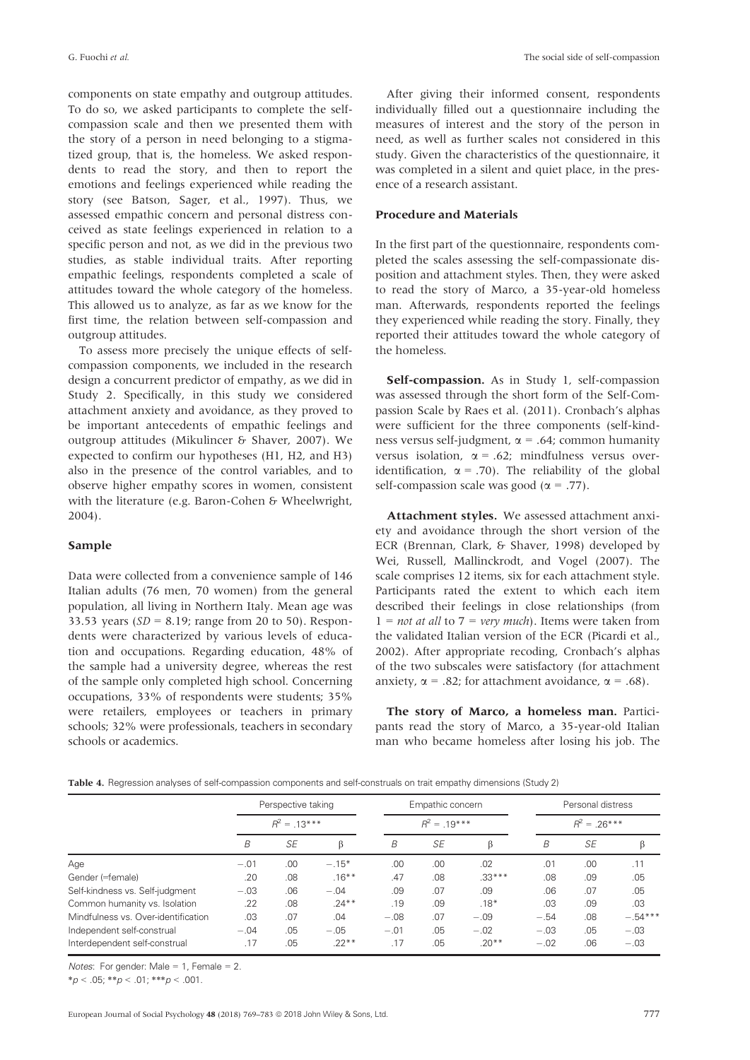components on state empathy and outgroup attitudes. To do so, we asked participants to complete the selfcompassion scale and then we presented them with the story of a person in need belonging to a stigmatized group, that is, the homeless. We asked respondents to read the story, and then to report the emotions and feelings experienced while reading the story (see Batson, Sager, et al., 1997). Thus, we assessed empathic concern and personal distress conceived as state feelings experienced in relation to a specific person and not, as we did in the previous two studies, as stable individual traits. After reporting empathic feelings, respondents completed a scale of attitudes toward the whole category of the homeless. This allowed us to analyze, as far as we know for the first time, the relation between self-compassion and outgroup attitudes.

To assess more precisely the unique effects of selfcompassion components, we included in the research design a concurrent predictor of empathy, as we did in Study 2. Specifically, in this study we considered attachment anxiety and avoidance, as they proved to be important antecedents of empathic feelings and outgroup attitudes (Mikulincer & Shaver, 2007). We expected to confirm our hypotheses (H1, H2, and H3) also in the presence of the control variables, and to observe higher empathy scores in women, consistent with the literature (e.g. Baron-Cohen & Wheelwright, 2004).

# Sample

Data were collected from a convenience sample of 146 Italian adults (76 men, 70 women) from the general population, all living in Northern Italy. Mean age was 33.53 years ( $SD = 8.19$ ; range from 20 to 50). Respondents were characterized by various levels of education and occupations. Regarding education, 48% of the sample had a university degree, whereas the rest of the sample only completed high school. Concerning occupations, 33% of respondents were students; 35% were retailers, employees or teachers in primary schools; 32% were professionals, teachers in secondary schools or academics.

After giving their informed consent, respondents individually filled out a questionnaire including the measures of interest and the story of the person in need, as well as further scales not considered in this study. Given the characteristics of the questionnaire, it was completed in a silent and quiet place, in the presence of a research assistant.

# Procedure and Materials

In the first part of the questionnaire, respondents completed the scales assessing the self-compassionate disposition and attachment styles. Then, they were asked to read the story of Marco, a 35-year-old homeless man. Afterwards, respondents reported the feelings they experienced while reading the story. Finally, they reported their attitudes toward the whole category of the homeless.

Self-compassion. As in Study 1, self-compassion was assessed through the short form of the Self-Compassion Scale by Raes et al. (2011). Cronbach's alphas were sufficient for the three components (self-kindness versus self-judgment,  $\alpha$  = .64; common humanity versus isolation,  $\alpha = .62$ ; mindfulness versus overidentification,  $\alpha$  = .70). The reliability of the global self-compassion scale was good ( $\alpha$  = .77).

Attachment styles. We assessed attachment anxiety and avoidance through the short version of the ECR (Brennan, Clark, & Shaver, 1998) developed by Wei, Russell, Mallinckrodt, and Vogel (2007). The scale comprises 12 items, six for each attachment style. Participants rated the extent to which each item described their feelings in close relationships (from  $1 = not at all to 7 = very much$ . Items were taken from the validated Italian version of the ECR (Picardi et al., 2002). After appropriate recoding, Cronbach's alphas of the two subscales were satisfactory (for attachment anxiety,  $\alpha$  = .82; for attachment avoidance,  $\alpha$  = .68).

The story of Marco, a homeless man. Participants read the story of Marco, a 35-year-old Italian man who became homeless after losing his job. The

|  |  |  |  | Table 4. Regression analyses of self-compassion components and self-construals on trait empathy dimensions (Study 2) |  |  |  |  |
|--|--|--|--|----------------------------------------------------------------------------------------------------------------------|--|--|--|--|
|--|--|--|--|----------------------------------------------------------------------------------------------------------------------|--|--|--|--|

|                                     |        | Perspective taking |          |        | Empathic concern |          |               | Personal distress |           |  |  |
|-------------------------------------|--------|--------------------|----------|--------|------------------|----------|---------------|-------------------|-----------|--|--|
|                                     |        | $R^2 = 13***$      |          |        | $R^2 = 19***$    |          | $R^2 = 26***$ |                   |           |  |  |
|                                     | B      | SE                 | β        | B      | <b>SE</b>        | ß        | B             | SE                | β         |  |  |
| Age                                 | $-.01$ | .00                | $-.15*$  | .00    | .00              | .02      | .01           | .00               | .11       |  |  |
| Gender (=female)                    | .20    | .08                | $.16***$ | .47    | .08              | $.33***$ | .08           | .09               | .05       |  |  |
| Self-kindness vs. Self-judgment     | $-.03$ | .06                | $-.04$   | .09    | .07              | .09      | .06           | .07               | .05       |  |  |
| Common humanity vs. Isolation       | .22    | .08                | $.24***$ | .19    | .09              | $.18*$   | .03           | .09               | .03       |  |  |
| Mindfulness vs. Over-identification | .03    | .07                | .04      | $-.08$ | .07              | $-.09$   | $-.54$        | .08               | $-.54***$ |  |  |
| Independent self-construal          | $-.04$ | .05                | $-.05$   | $-.01$ | .05              | $-.02$   | $-.03$        | .05               | $-.03$    |  |  |
| Interdependent self-construal       | .17    | .05                | $.22**$  | .17    | .05              | $.20**$  | $-.02$        | .06               | $-.03$    |  |  |

Notes: For gender: Male =  $1$ , Female =  $2$ .

 $*<sub>p</sub> < .05; **<sub>p</sub> < .01; ***<sub>p</sub> < .001.$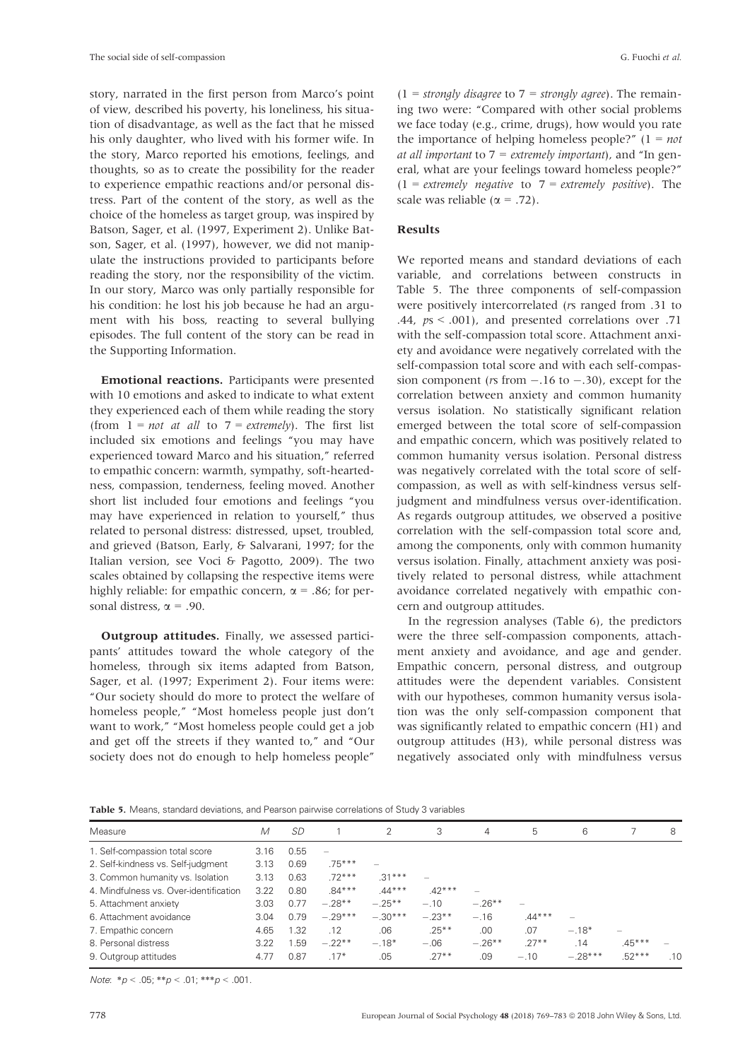story, narrated in the first person from Marco's point of view, described his poverty, his loneliness, his situation of disadvantage, as well as the fact that he missed his only daughter, who lived with his former wife. In the story, Marco reported his emotions, feelings, and thoughts, so as to create the possibility for the reader to experience empathic reactions and/or personal distress. Part of the content of the story, as well as the choice of the homeless as target group, was inspired by Batson, Sager, et al. (1997, Experiment 2). Unlike Batson, Sager, et al. (1997), however, we did not manipulate the instructions provided to participants before reading the story, nor the responsibility of the victim. In our story, Marco was only partially responsible for his condition: he lost his job because he had an argument with his boss, reacting to several bullying episodes. The full content of the story can be read in the Supporting Information.

Emotional reactions. Participants were presented with 10 emotions and asked to indicate to what extent they experienced each of them while reading the story (from  $1 = not$  at all to  $7 = extremely$ ). The first list included six emotions and feelings "you may have experienced toward Marco and his situation," referred to empathic concern: warmth, sympathy, soft-heartedness, compassion, tenderness, feeling moved. Another short list included four emotions and feelings "you may have experienced in relation to yourself," thus related to personal distress: distressed, upset, troubled, and grieved (Batson, Early, & Salvarani, 1997; for the Italian version, see Voci & Pagotto, 2009). The two scales obtained by collapsing the respective items were highly reliable: for empathic concern,  $\alpha$  = .86; for personal distress,  $\alpha$  = .90.

Outgroup attitudes. Finally, we assessed participants' attitudes toward the whole category of the homeless, through six items adapted from Batson, Sager, et al. (1997; Experiment 2). Four items were: "Our society should do more to protect the welfare of homeless people," "Most homeless people just don't want to work," "Most homeless people could get a job and get off the streets if they wanted to," and "Our society does not do enough to help homeless people"

 $(1 = strongly disagree to 7 = strongly agree)$ . The remaining two were: "Compared with other social problems we face today (e.g., crime, drugs), how would you rate the importance of helping homeless people?"  $(1 = not$ at all important to  $7$  = extremely important), and "In general, what are your feelings toward homeless people?"  $(1 = extremely negative to 7 = extremely positive)$ . The scale was reliable ( $\alpha$  = .72).

# Results

We reported means and standard deviations of each variable, and correlations between constructs in Table 5. The three components of self-compassion were positively intercorrelated (rs ranged from .31 to .44,  $ps < .001$ ), and presented correlations over .71 with the self-compassion total score. Attachment anxiety and avoidance were negatively correlated with the self-compassion total score and with each self-compassion component ( $rs$  from  $-.16$  to  $-.30$ ), except for the correlation between anxiety and common humanity versus isolation. No statistically significant relation emerged between the total score of self-compassion and empathic concern, which was positively related to common humanity versus isolation. Personal distress was negatively correlated with the total score of selfcompassion, as well as with self-kindness versus selfjudgment and mindfulness versus over-identification. As regards outgroup attitudes, we observed a positive correlation with the self-compassion total score and, among the components, only with common humanity versus isolation. Finally, attachment anxiety was positively related to personal distress, while attachment avoidance correlated negatively with empathic concern and outgroup attitudes.

In the regression analyses (Table 6), the predictors were the three self-compassion components, attachment anxiety and avoidance, and age and gender. Empathic concern, personal distress, and outgroup attitudes were the dependent variables. Consistent with our hypotheses, common humanity versus isolation was the only self-compassion component that was significantly related to empathic concern (H1) and outgroup attitudes (H3), while personal distress was negatively associated only with mindfulness versus

Table 5. Means, standard deviations, and Pearson pairwise correlations of Study 3 variables

| Measure                                | M    | <i>SD</i> |           | 2         | 3        | 4         | 5        | 6         |          | 8   |
|----------------------------------------|------|-----------|-----------|-----------|----------|-----------|----------|-----------|----------|-----|
| 1. Self-compassion total score         | 3.16 | 0.55      |           |           |          |           |          |           |          |     |
| 2. Self-kindness vs. Self-judgment     | 3.13 | 0.69      | $.75***$  |           |          |           |          |           |          |     |
| 3. Common humanity vs. Isolation       | 3.13 | 0.63      | $.72***$  | $.31***$  |          |           |          |           |          |     |
| 4. Mindfulness vs. Over-identification | 3.22 | 0.80      | $.84***$  | $.44***$  | $.42***$ |           |          |           |          |     |
| 5. Attachment anxiety                  | 3.03 | 0.77      | $-.28**$  | $-.25**$  | $-.10$   | $-.26***$ |          |           |          |     |
| 6. Attachment avoidance                | 3.04 | 0.79      | $-.29***$ | $-.30***$ | $-.23**$ | $-.16$    | $.44***$ |           |          |     |
| 7. Empathic concern                    | 4.65 | 1.32      | .12       | .06       | $.25***$ | .00       | .07      | $-.18*$   |          |     |
| 8. Personal distress                   | 3.22 | 1.59      | $-.22**$  | $-.18*$   | $-.06$   | $-.26***$ | $.27***$ | .14       | $.45***$ |     |
| 9. Outgroup attitudes                  | 4.77 | 0.87      | $.17*$    | .05       | $.27***$ | .09       | $-.10$   | $-.28***$ | $.52***$ | .10 |

Note:  $*_{D} < .05$ :  $*_{D} < .01$ :  $*_{D} < .001$ .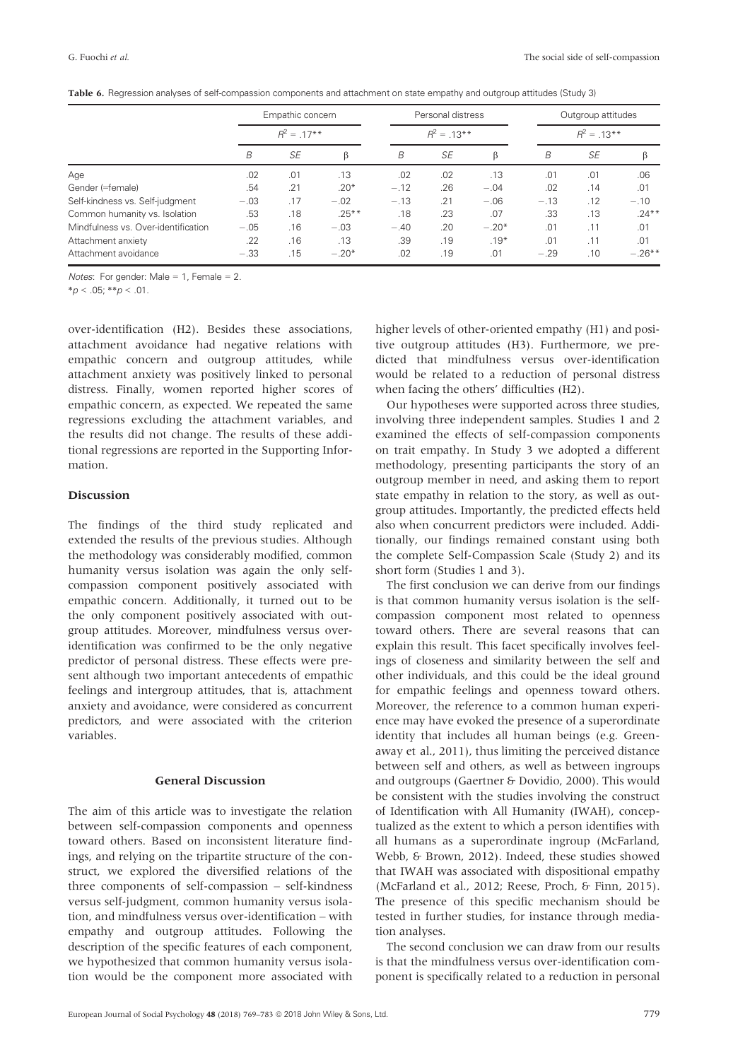|  |  |  |  |  |  |  | Table 6. Regression analyses of self-compassion components and attachment on state empathy and outgroup attitudes (Study 3) |  |
|--|--|--|--|--|--|--|-----------------------------------------------------------------------------------------------------------------------------|--|
|--|--|--|--|--|--|--|-----------------------------------------------------------------------------------------------------------------------------|--|

|                                     |        | Empathic concern |          |        | Personal distress |         | Outgroup attitudes |                |           |  |
|-------------------------------------|--------|------------------|----------|--------|-------------------|---------|--------------------|----------------|-----------|--|
|                                     |        | $R^2 = .17**$    |          |        | $R^2 = .13***$    |         |                    | $R^2 = .13***$ |           |  |
|                                     | B      | <b>SE</b>        | ß        | B      | SE                | ß       | B                  | SE             |           |  |
| Age                                 | .02    | .01              | .13      | .02    | .02               | .13     | .01                | .01            | .06       |  |
| Gender (=female)                    | .54    | .21              | $.20*$   | $-.12$ | .26               | $-.04$  | .02                | .14            | .01       |  |
| Self-kindness vs. Self-judgment     | $-.03$ | .17              | $-.02$   | $-.13$ | .21               | $-.06$  | $-.13$             | .12            | $-.10$    |  |
| Common humanity vs. Isolation       | .53    | .18              | $.25***$ | .18    | .23               | .07     | .33                | .13            | $.24***$  |  |
| Mindfulness vs. Over-identification | $-.05$ | .16              | $-.03$   | $-.40$ | .20               | $-.20*$ | .01                | .11            | .01       |  |
| Attachment anxiety                  | .22    | .16              | .13      | .39    | .19               | $.19*$  | .01                | .11            | .01       |  |
| Attachment avoidance                | $-.33$ | .15              | $-.20*$  | .02    | .19               | .01     | $-.29$             | .10            | $-.26***$ |  |

*Notes*: For gender: Male = 1, Female = 2.

 $*<sub>p</sub> < .05; **p < .01$ .

over-identification (H2). Besides these associations, attachment avoidance had negative relations with empathic concern and outgroup attitudes, while attachment anxiety was positively linked to personal distress. Finally, women reported higher scores of empathic concern, as expected. We repeated the same regressions excluding the attachment variables, and the results did not change. The results of these additional regressions are reported in the Supporting Information.

# Discussion

The findings of the third study replicated and extended the results of the previous studies. Although the methodology was considerably modified, common humanity versus isolation was again the only selfcompassion component positively associated with empathic concern. Additionally, it turned out to be the only component positively associated with outgroup attitudes. Moreover, mindfulness versus overidentification was confirmed to be the only negative predictor of personal distress. These effects were present although two important antecedents of empathic feelings and intergroup attitudes, that is, attachment anxiety and avoidance, were considered as concurrent predictors, and were associated with the criterion variables.

#### General Discussion

The aim of this article was to investigate the relation between self-compassion components and openness toward others. Based on inconsistent literature findings, and relying on the tripartite structure of the construct, we explored the diversified relations of the three components of self-compassion – self-kindness versus self-judgment, common humanity versus isolation, and mindfulness versus over-identification – with empathy and outgroup attitudes. Following the description of the specific features of each component, we hypothesized that common humanity versus isolation would be the component more associated with higher levels of other-oriented empathy (H1) and positive outgroup attitudes (H3). Furthermore, we predicted that mindfulness versus over-identification would be related to a reduction of personal distress when facing the others' difficulties (H2).

Our hypotheses were supported across three studies, involving three independent samples. Studies 1 and 2 examined the effects of self-compassion components on trait empathy. In Study 3 we adopted a different methodology, presenting participants the story of an outgroup member in need, and asking them to report state empathy in relation to the story, as well as outgroup attitudes. Importantly, the predicted effects held also when concurrent predictors were included. Additionally, our findings remained constant using both the complete Self-Compassion Scale (Study 2) and its short form (Studies 1 and 3).

The first conclusion we can derive from our findings is that common humanity versus isolation is the selfcompassion component most related to openness toward others. There are several reasons that can explain this result. This facet specifically involves feelings of closeness and similarity between the self and other individuals, and this could be the ideal ground for empathic feelings and openness toward others. Moreover, the reference to a common human experience may have evoked the presence of a superordinate identity that includes all human beings (e.g. Greenaway et al., 2011), thus limiting the perceived distance between self and others, as well as between ingroups and outgroups (Gaertner & Dovidio, 2000). This would be consistent with the studies involving the construct of Identification with All Humanity (IWAH), conceptualized as the extent to which a person identifies with all humans as a superordinate ingroup (McFarland, Webb, & Brown, 2012). Indeed, these studies showed that IWAH was associated with dispositional empathy (McFarland et al., 2012; Reese, Proch, & Finn, 2015). The presence of this specific mechanism should be tested in further studies, for instance through mediation analyses.

The second conclusion we can draw from our results is that the mindfulness versus over-identification component is specifically related to a reduction in personal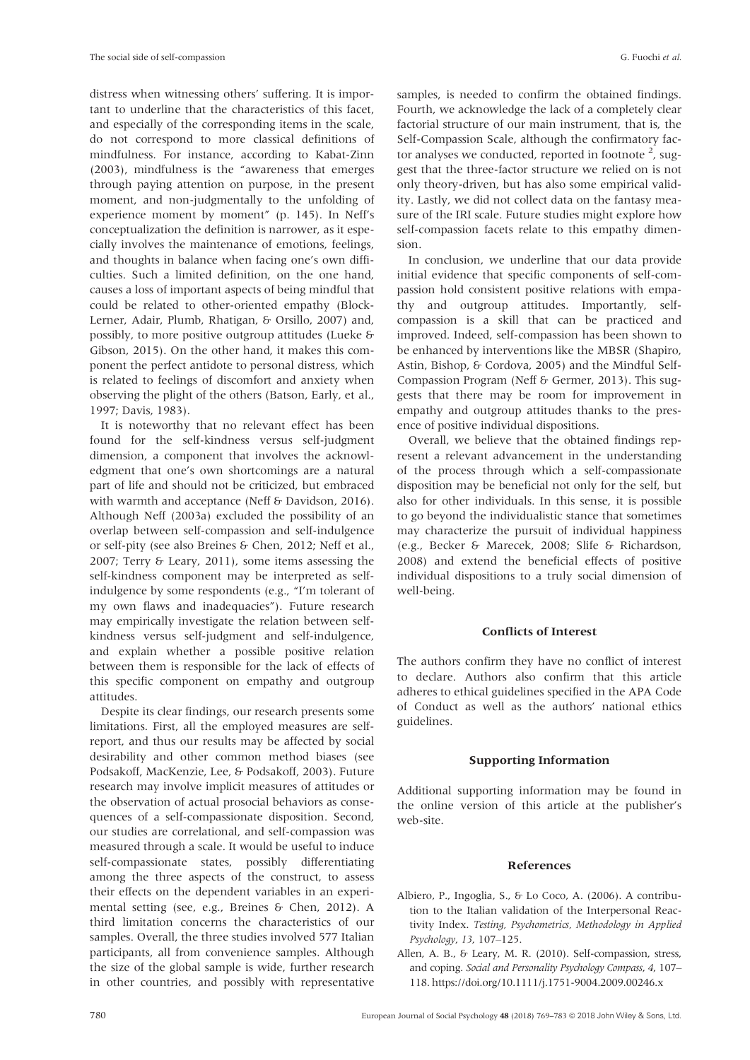distress when witnessing others' suffering. It is important to underline that the characteristics of this facet, and especially of the corresponding items in the scale, do not correspond to more classical definitions of mindfulness. For instance, according to Kabat-Zinn (2003), mindfulness is the "awareness that emerges through paying attention on purpose, in the present moment, and non-judgmentally to the unfolding of experience moment by moment" (p. 145). In Neff's conceptualization the definition is narrower, as it especially involves the maintenance of emotions, feelings, and thoughts in balance when facing one's own difficulties. Such a limited definition, on the one hand, causes a loss of important aspects of being mindful that could be related to other-oriented empathy (Block-Lerner, Adair, Plumb, Rhatigan, & Orsillo, 2007) and, possibly, to more positive outgroup attitudes (Lueke & Gibson, 2015). On the other hand, it makes this component the perfect antidote to personal distress, which is related to feelings of discomfort and anxiety when observing the plight of the others (Batson, Early, et al., 1997; Davis, 1983).

It is noteworthy that no relevant effect has been found for the self-kindness versus self-judgment dimension, a component that involves the acknowledgment that one's own shortcomings are a natural part of life and should not be criticized, but embraced with warmth and acceptance (Neff & Davidson, 2016). Although Neff (2003a) excluded the possibility of an overlap between self-compassion and self-indulgence or self-pity (see also Breines & Chen, 2012; Neff et al., 2007; Terry & Leary, 2011), some items assessing the self-kindness component may be interpreted as selfindulgence by some respondents (e.g., "I'm tolerant of my own flaws and inadequacies"). Future research may empirically investigate the relation between selfkindness versus self-judgment and self-indulgence, and explain whether a possible positive relation between them is responsible for the lack of effects of this specific component on empathy and outgroup attitudes.

Despite its clear findings, our research presents some limitations. First, all the employed measures are selfreport, and thus our results may be affected by social desirability and other common method biases (see Podsakoff, MacKenzie, Lee, & Podsakoff, 2003). Future research may involve implicit measures of attitudes or the observation of actual prosocial behaviors as consequences of a self-compassionate disposition. Second, our studies are correlational, and self-compassion was measured through a scale. It would be useful to induce self-compassionate states, possibly differentiating among the three aspects of the construct, to assess their effects on the dependent variables in an experimental setting (see, e.g., Breines & Chen, 2012). A third limitation concerns the characteristics of our samples. Overall, the three studies involved 577 Italian participants, all from convenience samples. Although the size of the global sample is wide, further research in other countries, and possibly with representative

samples, is needed to confirm the obtained findings. Fourth, we acknowledge the lack of a completely clear factorial structure of our main instrument, that is, the Self-Compassion Scale, although the confirmatory factor analyses we conducted, reported in footnote  $2$ , suggest that the three-factor structure we relied on is not only theory-driven, but has also some empirical validity. Lastly, we did not collect data on the fantasy measure of the IRI scale. Future studies might explore how self-compassion facets relate to this empathy dimension.

In conclusion, we underline that our data provide initial evidence that specific components of self-compassion hold consistent positive relations with empathy and outgroup attitudes. Importantly, selfcompassion is a skill that can be practiced and improved. Indeed, self-compassion has been shown to be enhanced by interventions like the MBSR (Shapiro, Astin, Bishop, & Cordova, 2005) and the Mindful Self-Compassion Program (Neff & Germer, 2013). This suggests that there may be room for improvement in empathy and outgroup attitudes thanks to the presence of positive individual dispositions.

Overall, we believe that the obtained findings represent a relevant advancement in the understanding of the process through which a self-compassionate disposition may be beneficial not only for the self, but also for other individuals. In this sense, it is possible to go beyond the individualistic stance that sometimes may characterize the pursuit of individual happiness (e.g., Becker & Marecek, 2008; Slife & Richardson, 2008) and extend the beneficial effects of positive individual dispositions to a truly social dimension of well-being.

#### Conflicts of Interest

The authors confirm they have no conflict of interest to declare. Authors also confirm that this article adheres to ethical guidelines specified in the APA Code of Conduct as well as the authors' national ethics guidelines.

#### Supporting Information

Additional supporting information may be found in the online version of this article at the publisher's web-site.

#### References

- Albiero, P., Ingoglia, S., & Lo Coco, A. (2006). A contribution to the Italian validation of the Interpersonal Reactivity Index. Testing, Psychometrics, Methodology in Applied Psychology, 13, 107–125.
- Allen, A. B., & Leary, M. R. (2010). Self-compassion, stress, and coping. Social and Personality Psychology Compass, 4, 107– 118.<https://doi.org/10.1111/j.1751-9004.2009.00246.x>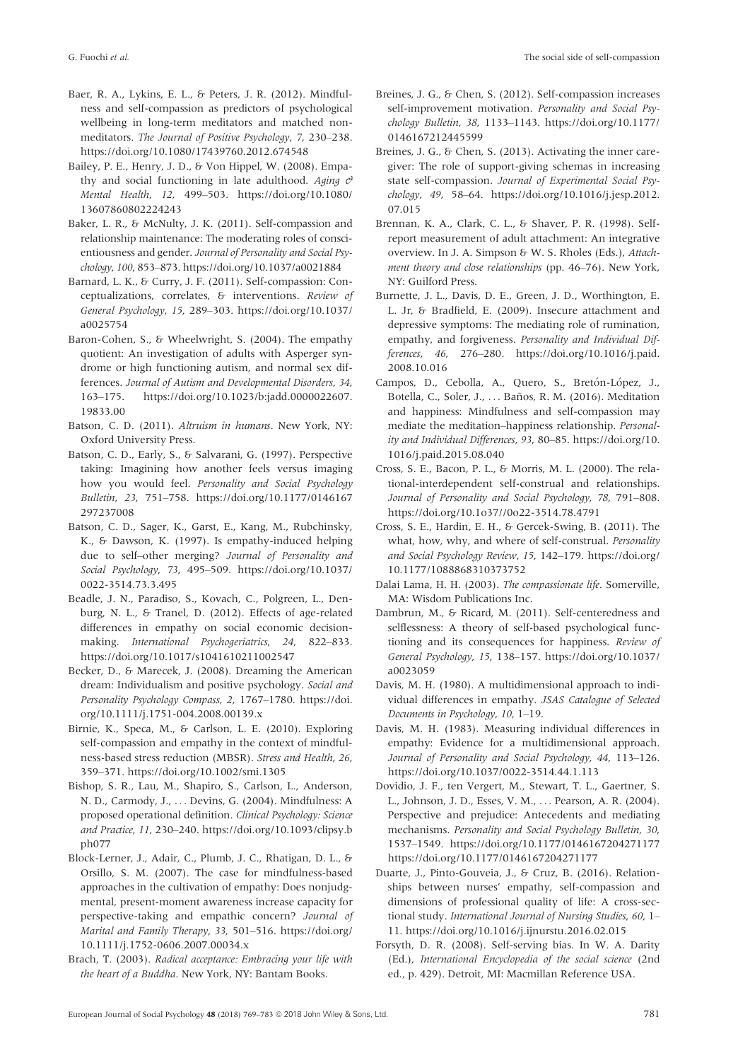- Baer, R. A., Lykins, E. L., & Peters, J. R. (2012). Mindfulness and self-compassion as predictors of psychological wellbeing in long-term meditators and matched nonmeditators. The Journal of Positive Psychology, 7, 230–238. <https://doi.org/10.1080/17439760.2012.674548>
- Bailey, P. E., Henry, J. D., & Von Hippel, W. (2008). Empathy and social functioning in late adulthood. Aging  $\theta$ Mental Health, 12, 499–503. [https://doi.org/10.1080/](https://doi.org/10.1080/13607860802224243) [13607860802224243](https://doi.org/10.1080/13607860802224243)
- Baker, L. R., & McNulty, J. K. (2011). Self-compassion and relationship maintenance: The moderating roles of conscientiousness and gender. Journal of Personality and Social Psychology, 100, 853–873.<https://doi.org/10.1037/a0021884>
- Barnard, L. K., & Curry, J. F. (2011). Self-compassion: Conceptualizations, correlates, & interventions. Review of General Psychology, 15, 289–303. [https://doi.org/10.1037/](https://doi.org/10.1037/a0025754) [a0025754](https://doi.org/10.1037/a0025754)
- Baron-Cohen, S., & Wheelwright, S. (2004). The empathy quotient: An investigation of adults with Asperger syndrome or high functioning autism, and normal sex differences. Journal of Autism and Developmental Disorders, 34, 163–175. [https://doi.org/10.1023/b:jadd.0000022607.](https://doi.org/10.1023/b:jadd.0000022607.19833.00) [19833.00](https://doi.org/10.1023/b:jadd.0000022607.19833.00)
- Batson, C. D. (2011). Altruism in humans. New York, NY: Oxford University Press.
- Batson, C. D., Early, S., & Salvarani, G. (1997). Perspective taking: Imagining how another feels versus imaging how you would feel. Personality and Social Psychology Bulletin, 23, 751–758. [https://doi.org/10.1177/0146167](https://doi.org/10.1177/0146167297237008) [297237008](https://doi.org/10.1177/0146167297237008)
- Batson, C. D., Sager, K., Garst, E., Kang, M., Rubchinsky, K., & Dawson, K. (1997). Is empathy-induced helping due to self–other merging? Journal of Personality and Social Psychology, 73, 495–509. [https://doi.org/10.1037/](https://doi.org/10.1037/0022-3514.73.3.495) [0022-3514.73.3.495](https://doi.org/10.1037/0022-3514.73.3.495)
- Beadle, J. N., Paradiso, S., Kovach, C., Polgreen, L., Denburg, N. L., & Tranel, D. (2012). Effects of age-related differences in empathy on social economic decisionmaking. International Psychogeriatrics, 24, 822–833. <https://doi.org/10.1017/s1041610211002547>
- Becker, D., & Marecek, J. (2008). Dreaming the American dream: Individualism and positive psychology. Social and Personality Psychology Compass, 2, 1767–1780. [https://doi.](https://doi.org/10.1111/j.1751-004.2008.00139.x) [org/10.1111/j.1751-004.2008.00139.x](https://doi.org/10.1111/j.1751-004.2008.00139.x)
- Birnie, K., Speca, M., & Carlson, L. E. (2010). Exploring self-compassion and empathy in the context of mindfulness-based stress reduction (MBSR). Stress and Health, 26, 359–371.<https://doi.org/10.1002/smi.1305>
- Bishop, S. R., Lau, M., Shapiro, S., Carlson, L., Anderson, N. D., Carmody, J., ... Devins, G. (2004). Mindfulness: A proposed operational definition. Clinical Psychology: Science and Practice, 11, 230–240. [https://doi.org/10.1093/clipsy.b](https://doi.org/10.1093/clipsy.bph077) [ph077](https://doi.org/10.1093/clipsy.bph077)
- Block-Lerner, J., Adair, C., Plumb, J. C., Rhatigan, D. L., & Orsillo, S. M. (2007). The case for mindfulness-based approaches in the cultivation of empathy: Does nonjudgmental, present-moment awareness increase capacity for perspective-taking and empathic concern? Journal of Marital and Family Therapy, 33, 501–516. [https://doi.org/](https://doi.org/10.1111/j.1752-0606.2007.00034.x) [10.1111/j.1752-0606.2007.00034.x](https://doi.org/10.1111/j.1752-0606.2007.00034.x)
- Brach, T. (2003). Radical acceptance: Embracing your life with the heart of a Buddha. New York, NY: Bantam Books.
- Breines, J. G., & Chen, S. (2012). Self-compassion increases self-improvement motivation. Personality and Social Psychology Bulletin, 38, 1133–1143. [https://doi.org/10.1177/](https://doi.org/10.1177/0146167212445599) [0146167212445599](https://doi.org/10.1177/0146167212445599)
- Breines, J. G., & Chen, S. (2013). Activating the inner caregiver: The role of support-giving schemas in increasing state self-compassion. Journal of Experimental Social Psychology, 49, 58–64. [https://doi.org/10.1016/j.jesp.2012.](https://doi.org/10.1016/j.jesp.2012.07.015) [07.015](https://doi.org/10.1016/j.jesp.2012.07.015)
- Brennan, K. A., Clark, C. L., & Shaver, P. R. (1998). Selfreport measurement of adult attachment: An integrative overview. In J. A. Simpson & W. S. Rholes (Eds.), Attachment theory and close relationships (pp. 46–76). New York, NY: Guilford Press.
- Burnette, J. L., Davis, D. E., Green, J. D., Worthington, E. L. Jr, & Bradfield, E. (2009). Insecure attachment and depressive symptoms: The mediating role of rumination, empathy, and forgiveness. Personality and Individual Differences, 46, 276–280. [https://doi.org/10.1016/j.paid.](https://doi.org/10.1016/j.paid.2008.10.016) [2008.10.016](https://doi.org/10.1016/j.paid.2008.10.016)
- Campos, D., Cebolla, A., Quero, S., Bretón-López, J., Botella, C., Soler, J., ... Baños, R. M. (2016). Meditation and happiness: Mindfulness and self-compassion may mediate the meditation–happiness relationship. Personality and Individual Differences, 93, 80–85. [https://doi.org/10.](https://doi.org/10.1016/j.paid.2015.08.040) [1016/j.paid.2015.08.040](https://doi.org/10.1016/j.paid.2015.08.040)
- Cross, S. E., Bacon, P. L., & Morris, M. L. (2000). The relational-interdependent self-construal and relationships. Journal of Personality and Social Psychology, 78, 791–808. <https://doi.org/10.1o37//0o22-3514.78.4791>
- Cross, S. E., Hardin, E. H., & Gercek-Swing, B. (2011). The what, how, why, and where of self-construal. Personality and Social Psychology Review, 15, 142–179. [https://doi.org/](https://doi.org/10.1177/1088868310373752) [10.1177/1088868310373752](https://doi.org/10.1177/1088868310373752)
- Dalai Lama, H. H. (2003). The compassionate life. Somerville, MA: Wisdom Publications Inc.
- Dambrun, M., & Ricard, M. (2011). Self-centeredness and selflessness: A theory of self-based psychological functioning and its consequences for happiness. Review of General Psychology, 15, 138–157. [https://doi.org/10.1037/](https://doi.org/10.1037/a0023059) [a0023059](https://doi.org/10.1037/a0023059)
- Davis, M. H. (1980). A multidimensional approach to individual differences in empathy. JSAS Catalogue of Selected Documents in Psychology, 10, 1–19.
- Davis, M. H. (1983). Measuring individual differences in empathy: Evidence for a multidimensional approach. Journal of Personality and Social Psychology, 44, 113–126. <https://doi.org/10.1037/0022-3514.44.1.113>
- Dovidio, J. F., ten Vergert, M., Stewart, T. L., Gaertner, S. L., Johnson, J. D., Esses, V. M., ... Pearson, A. R. (2004). Perspective and prejudice: Antecedents and mediating mechanisms. Personality and Social Psychology Bulletin, 30, 1537–1549.<https://doi.org/10.1177/0146167204271177> <https://doi.org/10.1177/0146167204271177>
- Duarte, J., Pinto-Gouveia, J., & Cruz, B. (2016). Relationships between nurses' empathy, self-compassion and dimensions of professional quality of life: A cross-sectional study. International Journal of Nursing Studies, 60, 1– 11.<https://doi.org/10.1016/j.ijnurstu.2016.02.015>
- Forsyth, D. R. (2008). Self-serving bias. In W. A. Darity (Ed.), International Encyclopedia of the social science (2nd ed., p. 429). Detroit, MI: Macmillan Reference USA.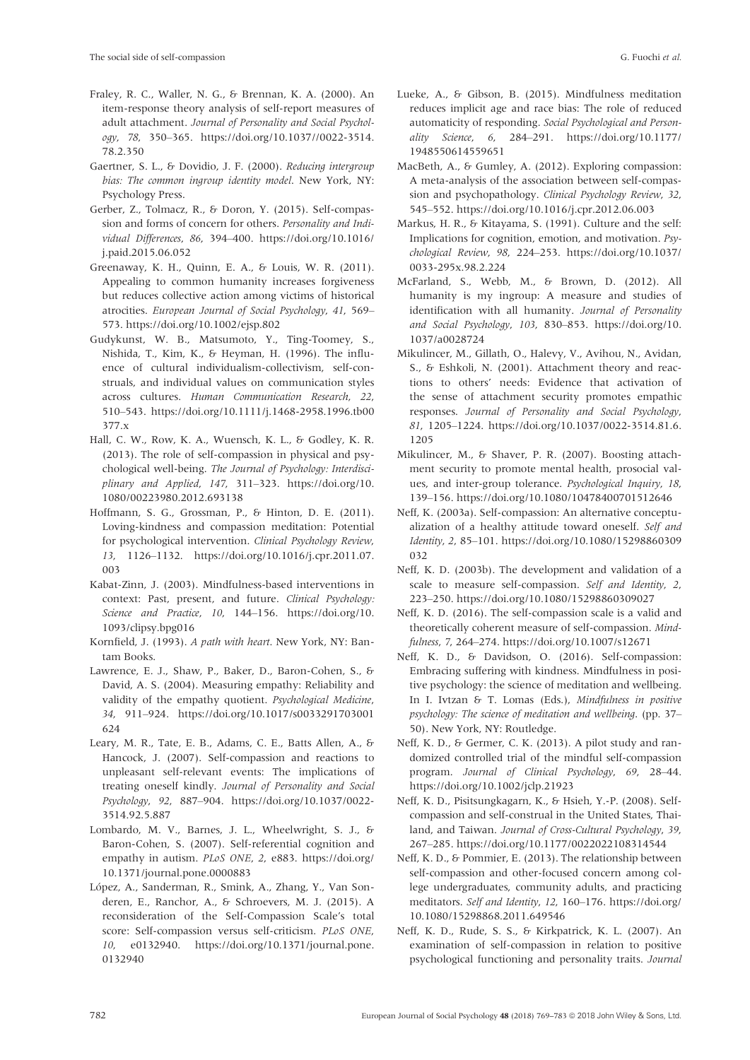- Fraley, R. C., Waller, N. G., & Brennan, K. A. (2000). An item-response theory analysis of self-report measures of adult attachment. Journal of Personality and Social Psychology, 78, 350–365. [https://doi.org/10.1037//0022-3514.](https://doi.org/10.1037//0022-3514.78.2.350) [78.2.350](https://doi.org/10.1037//0022-3514.78.2.350)
- Gaertner, S. L., & Dovidio, J. F. (2000). Reducing intergroup bias: The common ingroup identity model. New York, NY: Psychology Press.
- Gerber, Z., Tolmacz, R., & Doron, Y. (2015). Self-compassion and forms of concern for others. Personality and Individual Differences, 86, 394–400. [https://doi.org/10.1016/](https://doi.org/10.1016/j.paid.2015.06.052) [j.paid.2015.06.052](https://doi.org/10.1016/j.paid.2015.06.052)
- Greenaway, K. H., Quinn, E. A., & Louis, W. R. (2011). Appealing to common humanity increases forgiveness but reduces collective action among victims of historical atrocities. European Journal of Social Psychology, 41, 569– 573.<https://doi.org/10.1002/ejsp.802>
- Gudykunst, W. B., Matsumoto, Y., Ting-Toomey, S., Nishida, T., Kim, K., & Heyman, H. (1996). The influence of cultural individualism-collectivism, self-construals, and individual values on communication styles across cultures. Human Communication Research, 22, 510–543. [https://doi.org/10.1111/j.1468-2958.1996.tb00](https://doi.org/10.1111/j.1468-2958.1996.tb00377.x) [377.x](https://doi.org/10.1111/j.1468-2958.1996.tb00377.x)
- Hall, C. W., Row, K. A., Wuensch, K. L., & Godley, K. R. (2013). The role of self-compassion in physical and psychological well-being. The Journal of Psychology: Interdisciplinary and Applied, 147, 311–323. [https://doi.org/10.](https://doi.org/10.1080/00223980.2012.693138) [1080/00223980.2012.693138](https://doi.org/10.1080/00223980.2012.693138)
- Hoffmann, S. G., Grossman, P., & Hinton, D. E. (2011). Loving-kindness and compassion meditation: Potential for psychological intervention. Clinical Psychology Review, 13, 1126–1132. [https://doi.org/10.1016/j.cpr.2011.07.](https://doi.org/10.1016/j.cpr.2011.07.003) [003](https://doi.org/10.1016/j.cpr.2011.07.003)
- Kabat-Zinn, J. (2003). Mindfulness-based interventions in context: Past, present, and future. Clinical Psychology: Science and Practice, 10, 144-156. [https://doi.org/10.](https://doi.org/10.1093/clipsy.bpg016) [1093/clipsy.bpg016](https://doi.org/10.1093/clipsy.bpg016)
- Kornfield, J. (1993). A path with heart. New York, NY: Bantam Books.
- Lawrence, E. J., Shaw, P., Baker, D., Baron-Cohen, S., & David, A. S. (2004). Measuring empathy: Reliability and validity of the empathy quotient. Psychological Medicine, 34, 911–924. [https://doi.org/10.1017/s0033291703001](https://doi.org/10.1017/s0033291703001624) [624](https://doi.org/10.1017/s0033291703001624)
- Leary, M. R., Tate, E. B., Adams, C. E., Batts Allen, A., & Hancock, J. (2007). Self-compassion and reactions to unpleasant self-relevant events: The implications of treating oneself kindly. Journal of Personality and Social Psychology, 92, 887–904. [https://doi.org/10.1037/0022-](https://doi.org/10.1037/0022-3514.92.5.887) [3514.92.5.887](https://doi.org/10.1037/0022-3514.92.5.887)
- Lombardo, M. V., Barnes, J. L., Wheelwright, S. J., & Baron-Cohen, S. (2007). Self-referential cognition and empathy in autism. PLoS ONE, 2, e883. [https://doi.org/](https://doi.org/10.1371/journal.pone.0000883) [10.1371/journal.pone.0000883](https://doi.org/10.1371/journal.pone.0000883)
- López, A., Sanderman, R., Smink, A., Zhang, Y., Van Sonderen, E., Ranchor, A., & Schroevers, M. J. (2015). A reconsideration of the Self-Compassion Scale's total score: Self-compassion versus self-criticism. PLoS ONE, 10, e0132940. [https://doi.org/10.1371/journal.pone.](https://doi.org/10.1371/journal.pone.0132940) [0132940](https://doi.org/10.1371/journal.pone.0132940)
- Lueke, A., & Gibson, B. (2015). Mindfulness meditation reduces implicit age and race bias: The role of reduced automaticity of responding. Social Psychological and Personality Science, 6, 284–291. [https://doi.org/10.1177/](https://doi.org/10.1177/1948550614559651) [1948550614559651](https://doi.org/10.1177/1948550614559651)
- MacBeth, A., & Gumley, A. (2012). Exploring compassion: A meta-analysis of the association between self-compassion and psychopathology. Clinical Psychology Review, 32, 545–552.<https://doi.org/10.1016/j.cpr.2012.06.003>
- Markus, H. R., & Kitayama, S. (1991). Culture and the self: Implications for cognition, emotion, and motivation. Psychological Review, 98, 224–253. [https://doi.org/10.1037/](https://doi.org/10.1037/0033-295x.98.2.224) [0033-295x.98.2.224](https://doi.org/10.1037/0033-295x.98.2.224)
- McFarland, S., Webb, M., & Brown, D. (2012). All humanity is my ingroup: A measure and studies of identification with all humanity. Journal of Personality and Social Psychology, 103, 830–853. [https://doi.org/10.](https://doi.org/10.1037/a0028724) [1037/a0028724](https://doi.org/10.1037/a0028724)
- Mikulincer, M., Gillath, O., Halevy, V., Avihou, N., Avidan, S., & Eshkoli, N. (2001). Attachment theory and reactions to others' needs: Evidence that activation of the sense of attachment security promotes empathic responses. Journal of Personality and Social Psychology, 81, 1205–1224. [https://doi.org/10.1037/0022-3514.81.6.](https://doi.org/10.1037/0022-3514.81.6.1205) [1205](https://doi.org/10.1037/0022-3514.81.6.1205)
- Mikulincer, M., & Shaver, P. R. (2007). Boosting attachment security to promote mental health, prosocial values, and inter-group tolerance. Psychological Inquiry, 18, 139–156.<https://doi.org/10.1080/10478400701512646>
- Neff, K. (2003a). Self-compassion: An alternative conceptualization of a healthy attitude toward oneself. Self and Identity, 2, 85–101. [https://doi.org/10.1080/15298860309](https://doi.org/10.1080/15298860309032) [032](https://doi.org/10.1080/15298860309032)
- Neff, K. D. (2003b). The development and validation of a scale to measure self-compassion. Self and Identity, 2, 223–250.<https://doi.org/10.1080/15298860309027>
- Neff, K. D. (2016). The self-compassion scale is a valid and theoretically coherent measure of self-compassion. Mindfulness, 7, 264–274.<https://doi.org/10.1007/s12671>
- Neff, K. D., & Davidson, O. (2016). Self-compassion: Embracing suffering with kindness. Mindfulness in positive psychology: the science of meditation and wellbeing. In I. Ivtzan & T. Lomas (Eds.), Mindfulness in positive psychology: The science of meditation and wellbeing. (pp. 37– 50). New York, NY: Routledge.
- Neff, K. D., & Germer, C. K. (2013). A pilot study and randomized controlled trial of the mindful self-compassion program. Journal of Clinical Psychology, 69, 28–44. <https://doi.org/10.1002/jclp.21923>
- Neff, K. D., Pisitsungkagarn, K., & Hsieh, Y.-P. (2008). Selfcompassion and self-construal in the United States, Thailand, and Taiwan. Journal of Cross-Cultural Psychology, 39, 267–285.<https://doi.org/10.1177/0022022108314544>
- Neff, K. D., & Pommier, E. (2013). The relationship between self-compassion and other-focused concern among college undergraduates, community adults, and practicing meditators. Self and Identity, 12, 160–176. [https://doi.org/](https://doi.org/10.1080/15298868.2011.649546) [10.1080/15298868.2011.649546](https://doi.org/10.1080/15298868.2011.649546)
- Neff, K. D., Rude, S. S., & Kirkpatrick, K. L. (2007). An examination of self-compassion in relation to positive psychological functioning and personality traits. Journal